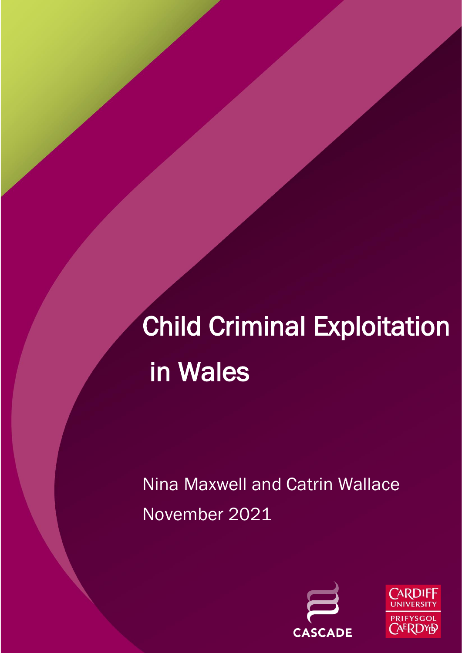# Child Criminal Exploitation in Wales

Nina Maxwell and Catrin Wallace November 2021



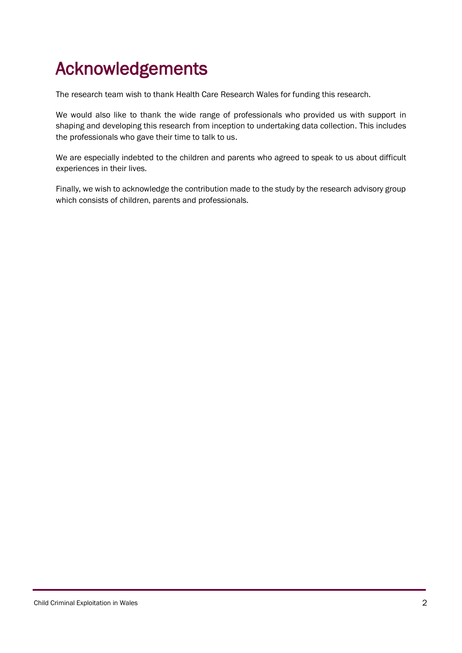## <span id="page-1-0"></span>Acknowledgements

The research team wish to thank Health Care Research Wales for funding this research.

We would also like to thank the wide range of professionals who provided us with support in shaping and developing this research from inception to undertaking data collection. This includes the professionals who gave their time to talk to us.

We are especially indebted to the children and parents who agreed to speak to us about difficult experiences in their lives.

Finally, we wish to acknowledge the contribution made to the study by the research advisory group which consists of children, parents and professionals.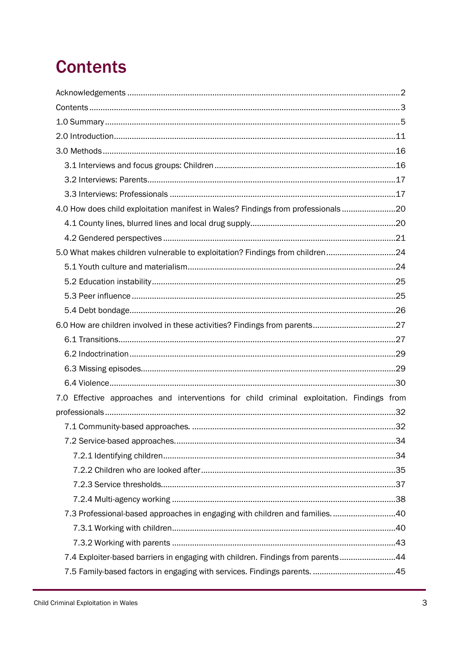## <span id="page-2-0"></span>**Contents**

| 4.0 How does child exploitation manifest in Wales? Findings from professionals20          |  |
|-------------------------------------------------------------------------------------------|--|
|                                                                                           |  |
|                                                                                           |  |
| 5.0 What makes children vulnerable to exploitation? Findings from children24              |  |
|                                                                                           |  |
|                                                                                           |  |
|                                                                                           |  |
|                                                                                           |  |
|                                                                                           |  |
|                                                                                           |  |
|                                                                                           |  |
|                                                                                           |  |
|                                                                                           |  |
| 7.0 Effective approaches and interventions for child criminal exploitation. Findings from |  |
|                                                                                           |  |
|                                                                                           |  |
|                                                                                           |  |
|                                                                                           |  |
|                                                                                           |  |
|                                                                                           |  |
|                                                                                           |  |
| 7.3 Professional-based approaches in engaging with children and families40                |  |
|                                                                                           |  |
|                                                                                           |  |
| 7.4 Exploiter-based barriers in engaging with children. Findings from parents44           |  |
|                                                                                           |  |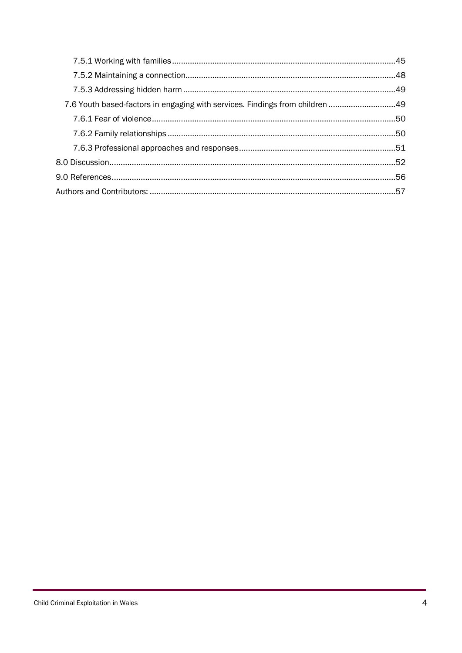| 7.6 Youth based-factors in engaging with services. Findings from children 49 |  |
|------------------------------------------------------------------------------|--|
|                                                                              |  |
|                                                                              |  |
|                                                                              |  |
|                                                                              |  |
|                                                                              |  |
|                                                                              |  |
|                                                                              |  |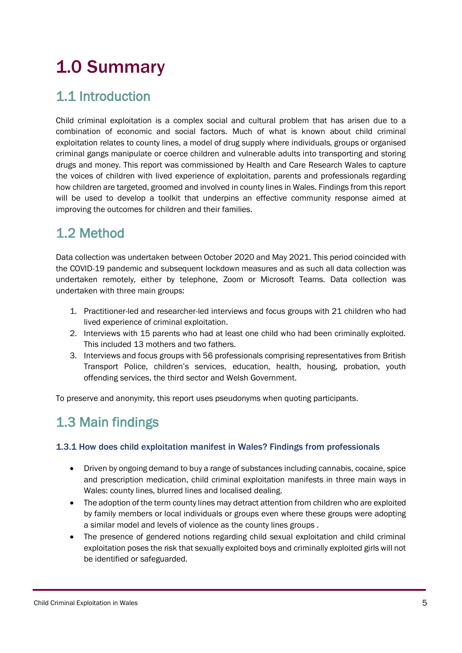## <span id="page-4-0"></span>1.0 Summary

## 1.1 Introduction

Child criminal exploitation is a complex social and cultural problem that has arisen due to a combination of economic and social factors. Much of what is known about child criminal exploitation relates to county lines, a model of drug supply where individuals, groups or organised criminal gangs manipulate or coerce children and vulnerable adults into transporting and storing drugs and money. This report was commissioned by Health and Care Research Wales to capture the voices of children with lived experience of exploitation, parents and professionals regarding how children are targeted, groomed and involved in county lines in Wales. Findings from this report will be used to develop a toolkit that underpins an effective community response aimed at improving the outcomes for children and their families.

## 1.2 Method

Data collection was undertaken between October 2020 and May 2021. This period coincided with the COVID-19 pandemic and subsequent lockdown measures and as such all data collection was undertaken remotely, either by telephone, Zoom or Microsoft Teams. Data collection was undertaken with three main groups:

- 1. Practitioner-led and researcher-led interviews and focus groups with 21 children who had lived experience of criminal exploitation.
- 2. Interviews with 15 parents who had at least one child who had been criminally exploited. This included 13 mothers and two fathers.
- 3. Interviews and focus groups with 56 professionals comprising representatives from British Transport Police, children's services, education, health, housing, probation, youth offending services, the third sector and Welsh Government.

To preserve and anonymity, this report uses pseudonyms when quoting participants.

## 1.3 Main findings

### 1.3.1 How does child exploitation manifest in Wales? Findings from professionals

- Driven by ongoing demand to buy a range of substances including cannabis, cocaine, spice and prescription medication, child criminal exploitation manifests in three main ways in Wales: county lines, blurred lines and localised dealing.
- The adoption of the term county lines may detract attention from children who are exploited by family members or local individuals or groups even where these groups were adopting a similar model and levels of violence as the county lines groups .
- The presence of gendered notions regarding child sexual exploitation and child criminal exploitation poses the risk that sexually exploited boys and criminally exploited girls will not be identified or safeguarded.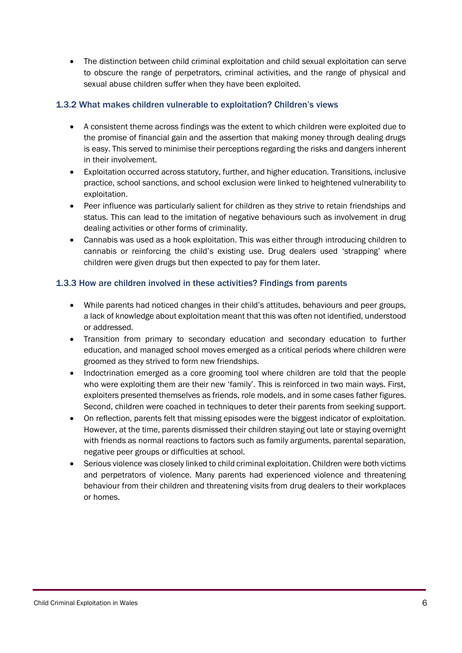• The distinction between child criminal exploitation and child sexual exploitation can serve to obscure the range of perpetrators, criminal activities, and the range of physical and sexual abuse children suffer when they have been exploited.

#### 1.3.2 What makes children vulnerable to exploitation? Children's views

- A consistent theme across findings was the extent to which children were exploited due to the promise of financial gain and the assertion that making money through dealing drugs is easy. This served to minimise their perceptions regarding the risks and dangers inherent in their involvement.
- Exploitation occurred across statutory, further, and higher education. Transitions, inclusive practice, school sanctions, and school exclusion were linked to heightened vulnerability to exploitation.
- Peer influence was particularly salient for children as they strive to retain friendships and status. This can lead to the imitation of negative behaviours such as involvement in drug dealing activities or other forms of criminality.
- Cannabis was used as a hook exploitation. This was either through introducing children to cannabis or reinforcing the child's existing use. Drug dealers used 'strapping' where children were given drugs but then expected to pay for them later.

#### 1.3.3 How are children involved in these activities? Findings from parents

- While parents had noticed changes in their child's attitudes, behaviours and peer groups, a lack of knowledge about exploitation meant that this was often not identified, understood or addressed.
- Transition from primary to secondary education and secondary education to further education, and managed school moves emerged as a critical periods where children were groomed as they strived to form new friendships.
- Indoctrination emerged as a core grooming tool where children are told that the people who were exploiting them are their new 'family'. This is reinforced in two main ways. First, exploiters presented themselves as friends, role models, and in some cases father figures. Second, children were coached in techniques to deter their parents from seeking support.
- On reflection, parents felt that missing episodes were the biggest indicator of exploitation. However, at the time, parents dismissed their children staying out late or staying overnight with friends as normal reactions to factors such as family arguments, parental separation, negative peer groups or difficulties at school.
- Serious violence was closely linked to child criminal exploitation. Children were both victims and perpetrators of violence. Many parents had experienced violence and threatening behaviour from their children and threatening visits from drug dealers to their workplaces or homes.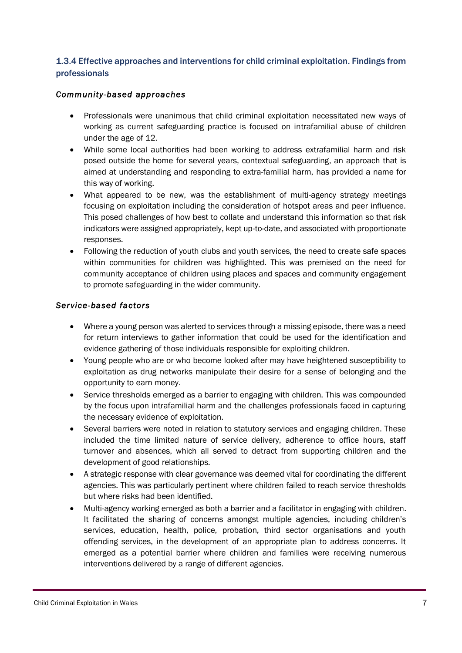### 1.3.4 Effective approaches and interventions for child criminal exploitation. Findings from professionals

#### *Community-based approaches*

- Professionals were unanimous that child criminal exploitation necessitated new ways of working as current safeguarding practice is focused on intrafamilial abuse of children under the age of 12.
- While some local authorities had been working to address extrafamilial harm and risk posed outside the home for several years, contextual safeguarding, an approach that is aimed at understanding and responding to extra-familial harm, has provided a name for this way of working.
- What appeared to be new, was the establishment of multi-agency strategy meetings focusing on exploitation including the consideration of hotspot areas and peer influence. This posed challenges of how best to collate and understand this information so that risk indicators were assigned appropriately, kept up-to-date, and associated with proportionate responses.
- Following the reduction of youth clubs and youth services, the need to create safe spaces within communities for children was highlighted. This was premised on the need for community acceptance of children using places and spaces and community engagement to promote safeguarding in the wider community.

#### *Service-based factors*

- Where a young person was alerted to services through a missing episode, there was a need for return interviews to gather information that could be used for the identification and evidence gathering of those individuals responsible for exploiting children.
- Young people who are or who become looked after may have heightened susceptibility to exploitation as drug networks manipulate their desire for a sense of belonging and the opportunity to earn money.
- Service thresholds emerged as a barrier to engaging with children. This was compounded by the focus upon intrafamilial harm and the challenges professionals faced in capturing the necessary evidence of exploitation.
- Several barriers were noted in relation to statutory services and engaging children. These included the time limited nature of service delivery, adherence to office hours, staff turnover and absences, which all served to detract from supporting children and the development of good relationships.
- A strategic response with clear governance was deemed vital for coordinating the different agencies. This was particularly pertinent where children failed to reach service thresholds but where risks had been identified.
- Multi-agency working emerged as both a barrier and a facilitator in engaging with children. It facilitated the sharing of concerns amongst multiple agencies, including children's services, education, health, police, probation, third sector organisations and youth offending services, in the development of an appropriate plan to address concerns. It emerged as a potential barrier where children and families were receiving numerous interventions delivered by a range of different agencies.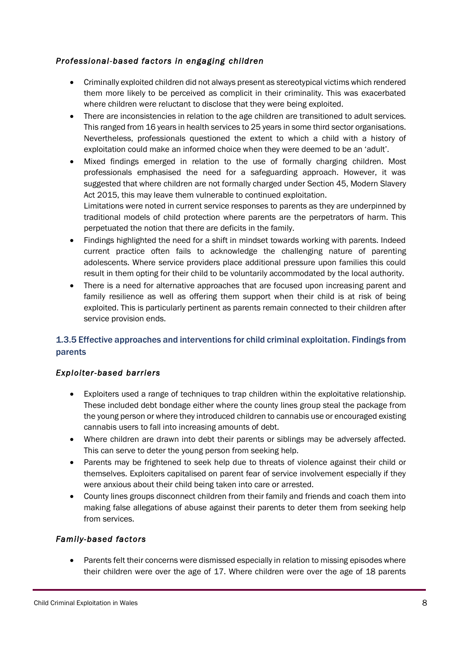### *Professional-based factors in engaging children*

- Criminally exploited children did not always present as stereotypical victims which rendered them more likely to be perceived as complicit in their criminality. This was exacerbated where children were reluctant to disclose that they were being exploited.
- There are inconsistencies in relation to the age children are transitioned to adult services. This ranged from 16 years in health services to 25 years in some third sector organisations. Nevertheless, professionals questioned the extent to which a child with a history of exploitation could make an informed choice when they were deemed to be an 'adult'.
- Mixed findings emerged in relation to the use of formally charging children. Most professionals emphasised the need for a safeguarding approach. However, it was suggested that where children are not formally charged under Section 45, Modern Slavery Act 2015, this may leave them vulnerable to continued exploitation. Limitations were noted in current service responses to parents as they are underpinned by traditional models of child protection where parents are the perpetrators of harm. This
- Findings highlighted the need for a shift in mindset towards working with parents. Indeed current practice often fails to acknowledge the challenging nature of parenting adolescents. Where service providers place additional pressure upon families this could result in them opting for their child to be voluntarily accommodated by the local authority.

perpetuated the notion that there are deficits in the family.

• There is a need for alternative approaches that are focused upon increasing parent and family resilience as well as offering them support when their child is at risk of being exploited. This is particularly pertinent as parents remain connected to their children after service provision ends.

### 1.3.5 Effective approaches and interventions for child criminal exploitation. Findings from parents

### *Exploiter-based barriers*

- Exploiters used a range of techniques to trap children within the exploitative relationship. These included debt bondage either where the county lines group steal the package from the young person or where they introduced children to cannabis use or encouraged existing cannabis users to fall into increasing amounts of debt.
- Where children are drawn into debt their parents or siblings may be adversely affected. This can serve to deter the young person from seeking help.
- Parents may be frightened to seek help due to threats of violence against their child or themselves. Exploiters capitalised on parent fear of service involvement especially if they were anxious about their child being taken into care or arrested.
- County lines groups disconnect children from their family and friends and coach them into making false allegations of abuse against their parents to deter them from seeking help from services.

### *Family-based factors*

• Parents felt their concerns were dismissed especially in relation to missing episodes where their children were over the age of 17. Where children were over the age of 18 parents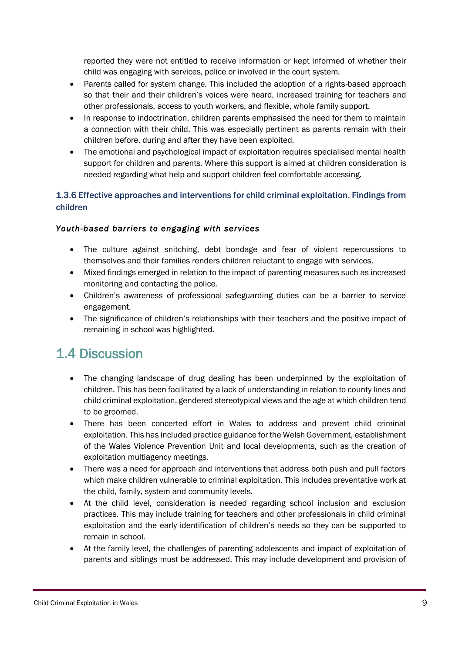reported they were not entitled to receive information or kept informed of whether their child was engaging with services, police or involved in the court system.

- Parents called for system change. This included the adoption of a rights-based approach so that their and their children's voices were heard, increased training for teachers and other professionals, access to youth workers, and flexible, whole family support.
- In response to indoctrination, children parents emphasised the need for them to maintain a connection with their child. This was especially pertinent as parents remain with their children before, during and after they have been exploited.
- The emotional and psychological impact of exploitation requires specialised mental health support for children and parents. Where this support is aimed at children consideration is needed regarding what help and support children feel comfortable accessing.

### 1.3.6 Effective approaches and interventions for child criminal exploitation. Findings from children

### *Youth-based barriers to engaging with services*

- The culture against snitching, debt bondage and fear of violent repercussions to themselves and their families renders children reluctant to engage with services.
- Mixed findings emerged in relation to the impact of parenting measures such as increased monitoring and contacting the police.
- Children's awareness of professional safeguarding duties can be a barrier to service engagement.
- The significance of children's relationships with their teachers and the positive impact of remaining in school was highlighted.

### 1.4 Discussion

- The changing landscape of drug dealing has been underpinned by the exploitation of children. This has been facilitated by a lack of understanding in relation to county lines and child criminal exploitation, gendered stereotypical views and the age at which children tend to be groomed.
- There has been concerted effort in Wales to address and prevent child criminal exploitation. This has included practice guidance for the Welsh Government, establishment of the Wales Violence Prevention Unit and local developments, such as the creation of exploitation multiagency meetings.
- There was a need for approach and interventions that address both push and pull factors which make children vulnerable to criminal exploitation. This includes preventative work at the child, family, system and community levels.
- At the child level, consideration is needed regarding school inclusion and exclusion practices. This may include training for teachers and other professionals in child criminal exploitation and the early identification of children's needs so they can be supported to remain in school.
- At the family level, the challenges of parenting adolescents and impact of exploitation of parents and siblings must be addressed. This may include development and provision of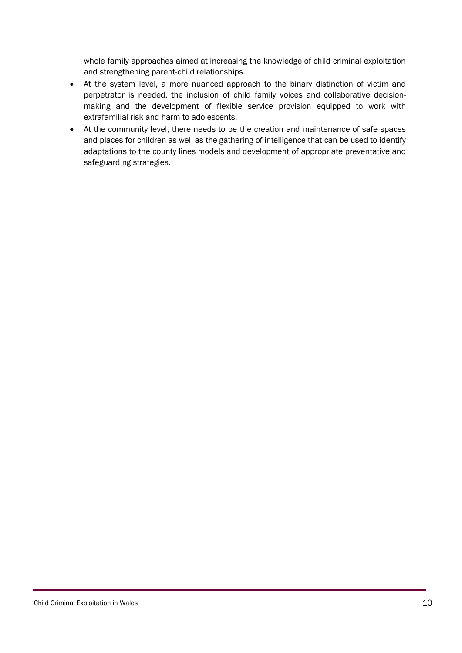whole family approaches aimed at increasing the knowledge of child criminal exploitation and strengthening parent-child relationships.

- At the system level, a more nuanced approach to the binary distinction of victim and perpetrator is needed, the inclusion of child family voices and collaborative decisionmaking and the development of flexible service provision equipped to work with extrafamilial risk and harm to adolescents.
- At the community level, there needs to be the creation and maintenance of safe spaces and places for children as well as the gathering of intelligence that can be used to identify adaptations to the county lines models and development of appropriate preventative and safeguarding strategies.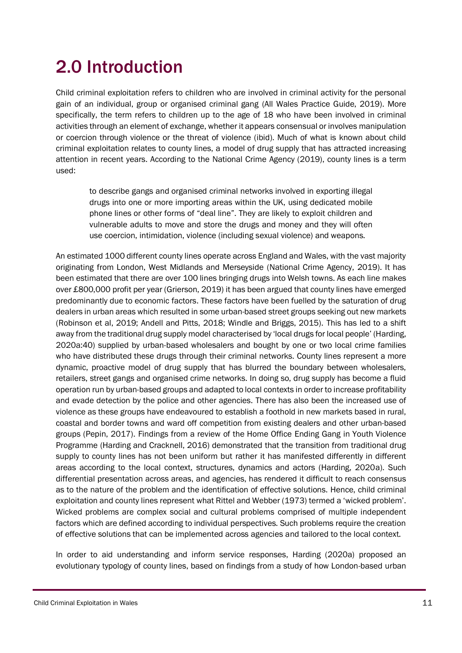## <span id="page-10-0"></span>2.0 Introduction

Child criminal exploitation refers to children who are involved in criminal activity for the personal gain of an individual, group or organised criminal gang (All Wales Practice Guide, 2019). More specifically, the term refers to children up to the age of 18 who have been involved in criminal activities through an element of exchange, whether it appears consensual or involves manipulation or coercion through violence or the threat of violence (ibid). Much of what is known about child criminal exploitation relates to county lines, a model of drug supply that has attracted increasing attention in recent years. According to the National Crime Agency (2019), county lines is a term used:

to describe gangs and organised criminal networks involved in exporting illegal drugs into one or more importing areas within the UK, using dedicated mobile phone lines or other forms of "deal line". They are likely to exploit children and vulnerable adults to move and store the drugs and money and they will often use coercion, intimidation, violence (including sexual violence) and weapons.

An estimated 1000 different county lines operate across England and Wales, with the vast majority originating from London, West Midlands and Merseyside (National Crime Agency, 2019). It has been estimated that there are over 100 lines bringing drugs into Welsh towns. As each line makes over £800,000 profit per year (Grierson, 2019) it has been argued that county lines have emerged predominantly due to economic factors. These factors have been fuelled by the saturation of drug dealers in urban areas which resulted in some urban-based street groups seeking out new markets (Robinson et al, 2019; Andell and Pitts, 2018; Windle and Briggs, 2015). This has led to a shift away from the traditional drug supply model characterised by 'local drugs for local people' (Harding, 2020a:40) supplied by urban-based wholesalers and bought by one or two local crime families who have distributed these drugs through their criminal networks. County lines represent a more dynamic, proactive model of drug supply that has blurred the boundary between wholesalers, retailers, street gangs and organised crime networks. In doing so, drug supply has become a fluid operation run by urban-based groups and adapted to local contexts in order to increase profitability and evade detection by the police and other agencies. There has also been the increased use of violence as these groups have endeavoured to establish a foothold in new markets based in rural, coastal and border towns and ward off competition from existing dealers and other urban-based groups (Pepin, 2017). Findings from a review of the Home Office Ending Gang in Youth Violence Programme (Harding and Cracknell, 2016) demonstrated that the transition from traditional drug supply to county lines has not been uniform but rather it has manifested differently in different areas according to the local context, structures, dynamics and actors (Harding, 2020a). Such differential presentation across areas, and agencies, has rendered it difficult to reach consensus as to the nature of the problem and the identification of effective solutions. Hence, child criminal exploitation and county lines represent what Rittel and Webber (1973) termed a 'wicked problem'. Wicked problems are complex social and cultural problems comprised of multiple independent factors which are defined according to individual perspectives. Such problems require the creation of effective solutions that can be implemented across agencies and tailored to the local context.

In order to aid understanding and inform service responses, Harding (2020a) proposed an evolutionary typology of county lines, based on findings from a study of how London-based urban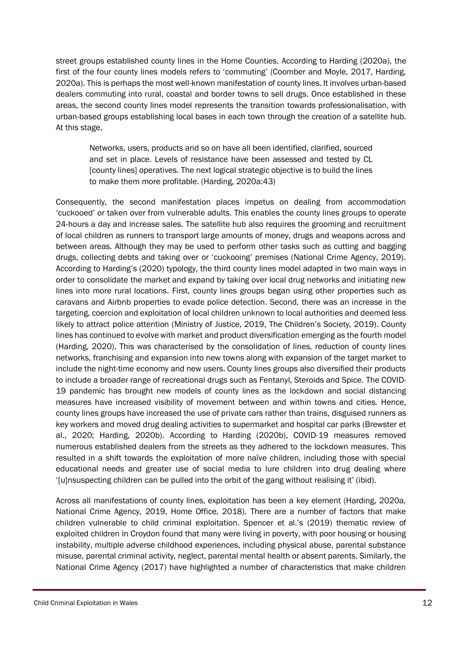street groups established county lines in the Home Counties. According to Harding (2020a), the first of the four county lines models refers to 'commuting' (Coomber and Moyle, 2017, Harding, 2020a). This is perhaps the most well-known manifestation of county lines. It involves urban-based dealers commuting into rural, coastal and border towns to sell drugs. Once established in these areas, the second county lines model represents the transition towards professionalisation, with urban-based groups establishing local bases in each town through the creation of a satellite hub. At this stage,

Networks, users, products and so on have all been identified, clarified, sourced and set in place. Levels of resistance have been assessed and tested by CL [county lines] operatives. The next logical strategic objective is to build the lines to make them more profitable. (Harding, 2020a:43)

Consequently, the second manifestation places impetus on dealing from accommodation 'cuckooed' or taken over from vulnerable adults. This enables the county lines groups to operate 24-hours a day and increase sales. The satellite hub also requires the grooming and recruitment of local children as runners to transport large amounts of money, drugs and weapons across and between areas. Although they may be used to perform other tasks such as cutting and bagging drugs, collecting debts and taking over or 'cuckooing' premises (National Crime Agency, 2019). According to Harding's (2020) typology, the third county lines model adapted in two main ways in order to consolidate the market and expand by taking over local drug networks and initiating new lines into more rural locations. First, county lines groups began using other properties such as caravans and Airbnb properties to evade police detection. Second, there was an increase in the targeting, coercion and exploitation of local children unknown to local authorities and deemed less likely to attract police attention (Ministry of Justice, 2019, The Children's Society, 2019). County lines has continued to evolve with market and product diversification emerging as the fourth model (Harding, 2020). This was characterised by the consolidation of lines, reduction of county lines networks, franchising and expansion into new towns along with expansion of the target market to include the night-time economy and new users. County lines groups also diversified their products to include a broader range of recreational drugs such as Fentanyl, Steroids and Spice. The COVID-19 pandemic has brought new models of county lines as the lockdown and social distancing measures have increased visibility of movement between and within towns and cities. Hence, county lines groups have increased the use of private cars rather than trains, disguised runners as key workers and moved drug dealing activities to supermarket and hospital car parks (Brewster et al., 2020; Harding, 2020b). According to Harding (2020b), COVID-19 measures removed numerous established dealers from the streets as they adhered to the lockdown measures. This resulted in a shift towards the exploitation of more naïve children, including those with special educational needs and greater use of social media to lure children into drug dealing where '[u]nsuspecting children can be pulled into the orbit of the gang without realising it' (ibid).

Across all manifestations of county lines, exploitation has been a key element (Harding, 2020a, National Crime Agency, 2019, Home Office, 2018). There are a number of factors that make children vulnerable to child criminal exploitation. Spencer et al.'s (2019) thematic review of exploited children in Croydon found that many were living in poverty, with poor housing or housing instability, multiple adverse childhood experiences, including physical abuse, parental substance misuse, parental criminal activity, neglect, parental mental health or absent parents. Similarly, the National Crime Agency (2017) have highlighted a number of characteristics that make children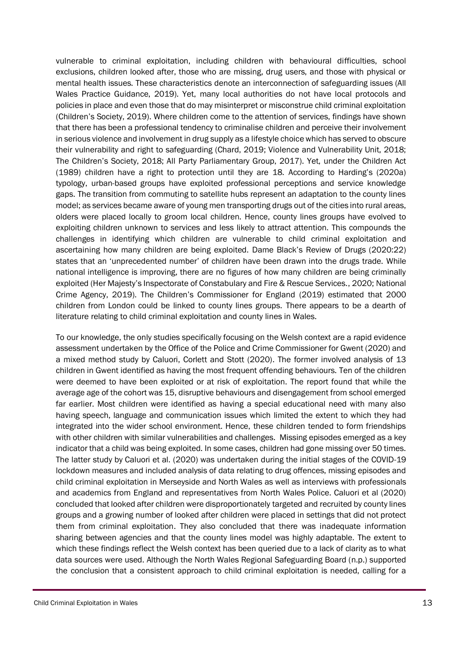vulnerable to criminal exploitation, including children with behavioural difficulties, school exclusions, children looked after, those who are missing, drug users, and those with physical or mental health issues. These characteristics denote an interconnection of safeguarding issues (All Wales Practice Guidance, 2019). Yet, many local authorities do not have local protocols and policies in place and even those that do may misinterpret or misconstrue child criminal exploitation (Children's Society, 2019). Where children come to the attention of services, findings have shown that there has been a professional tendency to criminalise children and perceive their involvement in serious violence and involvement in drug supply as a lifestyle choice which has served to obscure their vulnerability and right to safeguarding (Chard, 2019; Violence and Vulnerability Unit, 2018; The Children's Society, 2018; All Party Parliamentary Group, 2017). Yet, under the Children Act (1989) children have a right to protection until they are 18. According to Harding's (2020a) typology, urban-based groups have exploited professional perceptions and service knowledge gaps. The transition from commuting to satellite hubs represent an adaptation to the county lines model; as services became aware of young men transporting drugs out of the cities into rural areas, olders were placed locally to groom local children. Hence, county lines groups have evolved to exploiting children unknown to services and less likely to attract attention. This compounds the challenges in identifying which children are vulnerable to child criminal exploitation and ascertaining how many children are being exploited. Dame Black's Review of Drugs (2020:22) states that an 'unprecedented number' of children have been drawn into the drugs trade. While national intelligence is improving, there are no figures of how many children are being criminally exploited (Her Majesty's Inspectorate of Constabulary and Fire & Rescue Services., 2020; National Crime Agency, 2019). The Children's Commissioner for England (2019) estimated that 2000 children from London could be linked to county lines groups. There appears to be a dearth of literature relating to child criminal exploitation and county lines in Wales.

To our knowledge, the only studies specifically focusing on the Welsh context are a rapid evidence assessment undertaken by the Office of the Police and Crime Commissioner for Gwent (2020) and a mixed method study by Caluori, Corlett and Stott (2020). The former involved analysis of 13 children in Gwent identified as having the most frequent offending behaviours. Ten of the children were deemed to have been exploited or at risk of exploitation. The report found that while the average age of the cohort was 15, disruptive behaviours and disengagement from school emerged far earlier. Most children were identified as having a special educational need with many also having speech, language and communication issues which limited the extent to which they had integrated into the wider school environment. Hence, these children tended to form friendships with other children with similar vulnerabilities and challenges. Missing episodes emerged as a key indicator that a child was being exploited. In some cases, children had gone missing over 50 times. The latter study by Caluori et al. (2020) was undertaken during the initial stages of the COVID-19 lockdown measures and included analysis of data relating to drug offences, missing episodes and child criminal exploitation in Merseyside and North Wales as well as interviews with professionals and academics from England and representatives from North Wales Police. Caluori et al (2020) concluded that looked after children were disproportionately targeted and recruited by county lines groups and a growing number of looked after children were placed in settings that did not protect them from criminal exploitation. They also concluded that there was inadequate information sharing between agencies and that the county lines model was highly adaptable. The extent to which these findings reflect the Welsh context has been queried due to a lack of clarity as to what data sources were used. Although the North Wales Regional Safeguarding Board (n.p.) supported the conclusion that a consistent approach to child criminal exploitation is needed, calling for a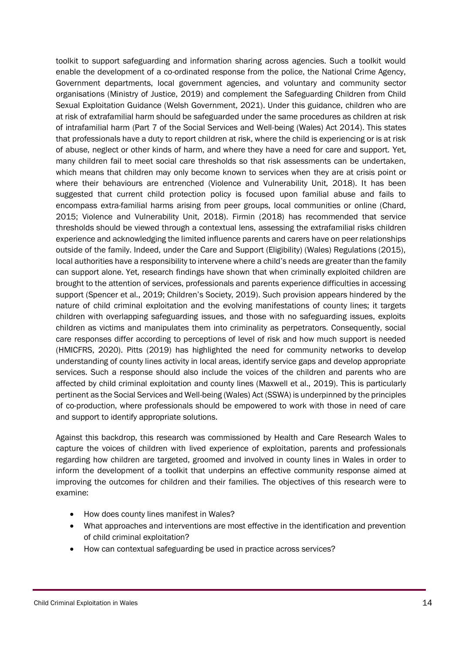toolkit to support safeguarding and information sharing across agencies. Such a toolkit would enable the development of a co-ordinated response from the police, the National Crime Agency, Government departments, local government agencies, and voluntary and community sector organisations (Ministry of Justice, 2019) and complement the Safeguarding Children from Child Sexual Exploitation Guidance (Welsh Government, 2021). Under this guidance, children who are at risk of extrafamilial harm should be safeguarded under the same procedures as children at risk of intrafamilial harm (Part 7 of the Social Services and Well-being (Wales) Act 2014). This states that professionals have a duty to report children at risk, where the child is experiencing or is at risk of abuse, neglect or other kinds of harm, and where they have a need for care and support. Yet, many children fail to meet social care thresholds so that risk assessments can be undertaken, which means that children may only become known to services when they are at crisis point or where their behaviours are entrenched (Violence and Vulnerability Unit, 2018). It has been suggested that current child protection policy is focused upon familial abuse and fails to encompass extra-familial harms arising from peer groups, local communities or online (Chard, 2015; Violence and Vulnerability Unit, 2018). Firmin (2018) has recommended that service thresholds should be viewed through a contextual lens, assessing the extrafamilial risks children experience and acknowledging the limited influence parents and carers have on peer relationships outside of the family. Indeed, under the Care and Support (Eligibility) (Wales) Regulations (2015), local authorities have a responsibility to intervene where a child's needs are greater than the family can support alone. Yet, research findings have shown that when criminally exploited children are brought to the attention of services, professionals and parents experience difficulties in accessing support (Spencer et al., 2019; Children's Society, 2019). Such provision appears hindered by the nature of child criminal exploitation and the evolving manifestations of county lines; it targets children with overlapping safeguarding issues, and those with no safeguarding issues, exploits children as victims and manipulates them into criminality as perpetrators. Consequently, social care responses differ according to perceptions of level of risk and how much support is needed (HMICFRS, 2020). Pitts (2019) has highlighted the need for community networks to develop understanding of county lines activity in local areas, identify service gaps and develop appropriate services. Such a response should also include the voices of the children and parents who are affected by child criminal exploitation and county lines (Maxwell et al., 2019). This is particularly pertinent as the Social Services and Well-being (Wales) Act (SSWA) is underpinned by the principles of co-production, where professionals should be empowered to work with those in need of care and support to identify appropriate solutions.

Against this backdrop, this research was commissioned by Health and Care Research Wales to capture the voices of children with lived experience of exploitation, parents and professionals regarding how children are targeted, groomed and involved in county lines in Wales in order to inform the development of a toolkit that underpins an effective community response aimed at improving the outcomes for children and their families. The objectives of this research were to examine:

- How does county lines manifest in Wales?
- What approaches and interventions are most effective in the identification and prevention of child criminal exploitation?
- How can contextual safeguarding be used in practice across services?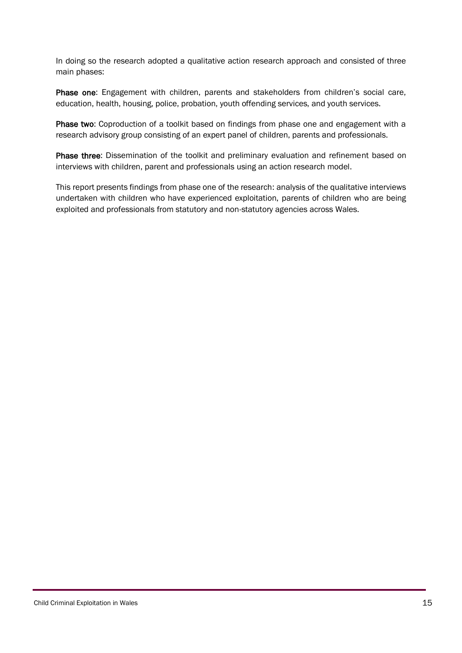In doing so the research adopted a qualitative action research approach and consisted of three main phases:

Phase one: Engagement with children, parents and stakeholders from children's social care, education, health, housing, police, probation, youth offending services, and youth services.

Phase two: Coproduction of a toolkit based on findings from phase one and engagement with a research advisory group consisting of an expert panel of children, parents and professionals.

Phase three: Dissemination of the toolkit and preliminary evaluation and refinement based on interviews with children, parent and professionals using an action research model.

This report presents findings from phase one of the research: analysis of the qualitative interviews undertaken with children who have experienced exploitation, parents of children who are being exploited and professionals from statutory and non-statutory agencies across Wales.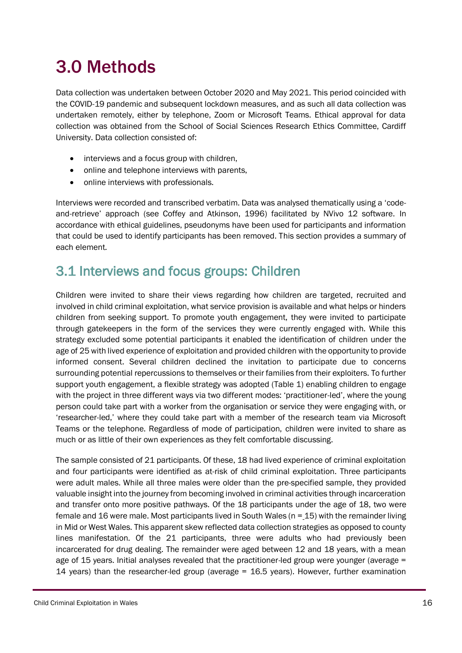## <span id="page-15-0"></span>3.0 Methods

Data collection was undertaken between October 2020 and May 2021. This period coincided with the COVID-19 pandemic and subsequent lockdown measures, and as such all data collection was undertaken remotely, either by telephone, Zoom or Microsoft Teams. Ethical approval for data collection was obtained from the School of Social Sciences Research Ethics Committee, Cardiff University. Data collection consisted of:

- interviews and a focus group with children,
- online and telephone interviews with parents,
- online interviews with professionals.

Interviews were recorded and transcribed verbatim. Data was analysed thematically using a 'codeand-retrieve' approach (see Coffey and Atkinson, 1996) facilitated by NVivo 12 software. In accordance with ethical guidelines, pseudonyms have been used for participants and information that could be used to identify participants has been removed. This section provides a summary of each element.

### <span id="page-15-1"></span>3.1 Interviews and focus groups: Children

Children were invited to share their views regarding how children are targeted, recruited and involved in child criminal exploitation, what service provision is available and what helps or hinders children from seeking support. To promote youth engagement, they were invited to participate through gatekeepers in the form of the services they were currently engaged with. While this strategy excluded some potential participants it enabled the identification of children under the age of 25 with lived experience of exploitation and provided children with the opportunity to provide informed consent. Several children declined the invitation to participate due to concerns surrounding potential repercussions to themselves or their families from their exploiters. To further support youth engagement, a flexible strategy was adopted (Table 1) enabling children to engage with the project in three different ways via two different modes: 'practitioner-led', where the young person could take part with a worker from the organisation or service they were engaging with, or 'researcher-led,' where they could take part with a member of the research team via Microsoft Teams or the telephone. Regardless of mode of participation, children were invited to share as much or as little of their own experiences as they felt comfortable discussing.

The sample consisted of 21 participants. Of these, 18 had lived experience of criminal exploitation and four participants were identified as at-risk of child criminal exploitation. Three participants were adult males. While all three males were older than the pre-specified sample, they provided valuable insight into the journey from becoming involved in criminal activities through incarceration and transfer onto more positive pathways. Of the 18 participants under the age of 18, two were female and 16 were male. Most participants lived in South Wales ( $n = 15$ ) with the remainder living in Mid or West Wales. This apparent skew reflected data collection strategies as opposed to county lines manifestation. Of the 21 participants, three were adults who had previously been incarcerated for drug dealing. The remainder were aged between 12 and 18 years, with a mean age of 15 years. Initial analyses revealed that the practitioner-led group were younger (average = 14 years) than the researcher-led group (average = 16.5 years). However, further examination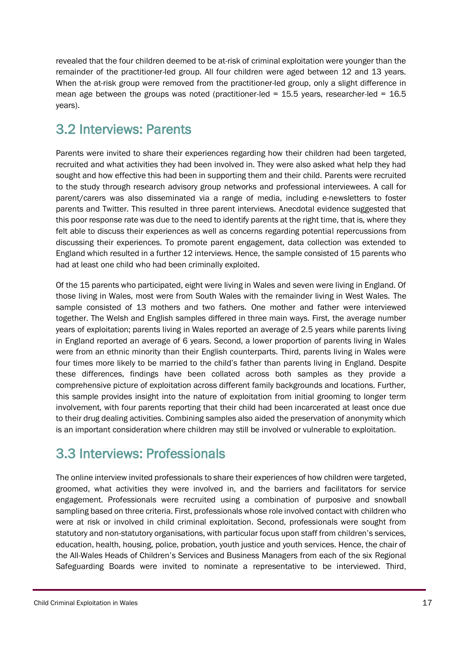revealed that the four children deemed to be at-risk of criminal exploitation were younger than the remainder of the practitioner-led group. All four children were aged between 12 and 13 years. When the at-risk group were removed from the practitioner-led group, only a slight difference in mean age between the groups was noted (practitioner-led = 15.5 years, researcher-led = 16.5 years).

### <span id="page-16-0"></span>3.2 Interviews: Parents

Parents were invited to share their experiences regarding how their children had been targeted, recruited and what activities they had been involved in. They were also asked what help they had sought and how effective this had been in supporting them and their child. Parents were recruited to the study through research advisory group networks and professional interviewees. A call for parent/carers was also disseminated via a range of media, including e-newsletters to foster parents and Twitter. This resulted in three parent interviews. Anecdotal evidence suggested that this poor response rate was due to the need to identify parents at the right time, that is, where they felt able to discuss their experiences as well as concerns regarding potential repercussions from discussing their experiences. To promote parent engagement, data collection was extended to England which resulted in a further 12 interviews. Hence, the sample consisted of 15 parents who had at least one child who had been criminally exploited.

Of the 15 parents who participated, eight were living in Wales and seven were living in England. Of those living in Wales, most were from South Wales with the remainder living in West Wales. The sample consisted of 13 mothers and two fathers. One mother and father were interviewed together. The Welsh and English samples differed in three main ways. First, the average number years of exploitation; parents living in Wales reported an average of 2.5 years while parents living in England reported an average of 6 years. Second, a lower proportion of parents living in Wales were from an ethnic minority than their English counterparts. Third, parents living in Wales were four times more likely to be married to the child's father than parents living in England. Despite these differences, findings have been collated across both samples as they provide a comprehensive picture of exploitation across different family backgrounds and locations. Further, this sample provides insight into the nature of exploitation from initial grooming to longer term involvement, with four parents reporting that their child had been incarcerated at least once due to their drug dealing activities. Combining samples also aided the preservation of anonymity which is an important consideration where children may still be involved or vulnerable to exploitation.

### <span id="page-16-1"></span>3.3 Interviews: Professionals

The online interview invited professionals to share their experiences of how children were targeted, groomed, what activities they were involved in, and the barriers and facilitators for service engagement. Professionals were recruited using a combination of purposive and snowball sampling based on three criteria. First, professionals whose role involved contact with children who were at risk or involved in child criminal exploitation. Second, professionals were sought from statutory and non-statutory organisations, with particular focus upon staff from children's services, education, health, housing, police, probation, youth justice and youth services. Hence, the chair of the All-Wales Heads of Children's Services and Business Managers from each of the six Regional Safeguarding Boards were invited to nominate a representative to be interviewed. Third,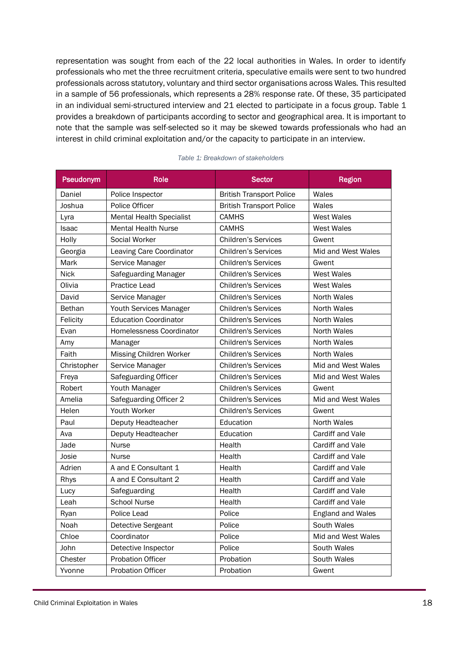representation was sought from each of the 22 local authorities in Wales. In order to identify professionals who met the three recruitment criteria, speculative emails were sent to two hundred professionals across statutory, voluntary and third sector organisations across Wales. This resulted in a sample of 56 professionals, which represents a 28% response rate. Of these, 35 participated in an individual semi-structured interview and 21 elected to participate in a focus group. Table 1 provides a breakdown of participants according to sector and geographical area. It is important to note that the sample was self-selected so it may be skewed towards professionals who had an interest in child criminal exploitation and/or the capacity to participate in an interview.

| Pseudonym     | <b>Role</b>                     | <b>Sector</b>                   | <b>Region</b>      |
|---------------|---------------------------------|---------------------------------|--------------------|
| Daniel        | Police Inspector                | <b>British Transport Police</b> | Wales              |
| Joshua        | Police Officer                  | <b>British Transport Police</b> | Wales              |
| Lyra          | <b>Mental Health Specialist</b> | <b>CAMHS</b>                    | <b>West Wales</b>  |
| <b>Isaac</b>  | <b>Mental Health Nurse</b>      | <b>CAMHS</b>                    | <b>West Wales</b>  |
| Holly         | Social Worker                   | <b>Children's Services</b>      | Gwent              |
| Georgia       | Leaving Care Coordinator        | <b>Children's Services</b>      | Mid and West Wales |
| Mark          | Service Manager                 | <b>Children's Services</b>      | Gwent              |
| <b>Nick</b>   | Safeguarding Manager            | <b>Children's Services</b>      | <b>West Wales</b>  |
| Olivia        | Practice Lead                   | <b>Children's Services</b>      | <b>West Wales</b>  |
| David         | Service Manager                 | <b>Children's Services</b>      | <b>North Wales</b> |
| <b>Bethan</b> | Youth Services Manager          | <b>Children's Services</b>      | North Wales        |
| Felicity      | <b>Education Coordinator</b>    | <b>Children's Services</b>      | North Wales        |
| Evan          | Homelessness Coordinator        | <b>Children's Services</b>      | North Wales        |
| Amy           | Manager                         | <b>Children's Services</b>      | North Wales        |
| Faith         | Missing Children Worker         | <b>Children's Services</b>      | North Wales        |
| Christopher   | Service Manager                 | <b>Children's Services</b>      | Mid and West Wales |
| Freya         | Safeguarding Officer            | <b>Children's Services</b>      | Mid and West Wales |
| Robert        | Youth Manager                   | <b>Children's Services</b>      | Gwent              |
| Amelia        | Safeguarding Officer 2          | <b>Children's Services</b>      | Mid and West Wales |
| Helen         | Youth Worker                    | <b>Children's Services</b>      | Gwent              |
| Paul          | Deputy Headteacher              | Education                       | North Wales        |
| Ava           | Deputy Headteacher              | Education                       | Cardiff and Vale   |
| Jade          | Nurse                           | Health                          | Cardiff and Vale   |
| Josie         | <b>Nurse</b>                    | Health                          | Cardiff and Vale   |
| Adrien        | A and E Consultant 1            | Health                          | Cardiff and Vale   |
| Rhys          | A and E Consultant 2            | Health                          | Cardiff and Vale   |
| Lucy          | Safeguarding                    | Health                          | Cardiff and Vale   |
| Leah          | <b>School Nurse</b>             | Health                          | Cardiff and Vale   |
| Ryan          | Police Lead                     | Police                          | England and Wales  |
| Noah          | Detective Sergeant              | Police                          | South Wales        |
| Chloe         | Coordinator                     | Police                          | Mid and West Wales |
| John          | Detective Inspector             | Police                          | South Wales        |
| Chester       | <b>Probation Officer</b>        | Probation                       | South Wales        |
| Yvonne        | Probation Officer               | Probation                       | Gwent              |

#### *Table 1: Breakdown of stakeholders*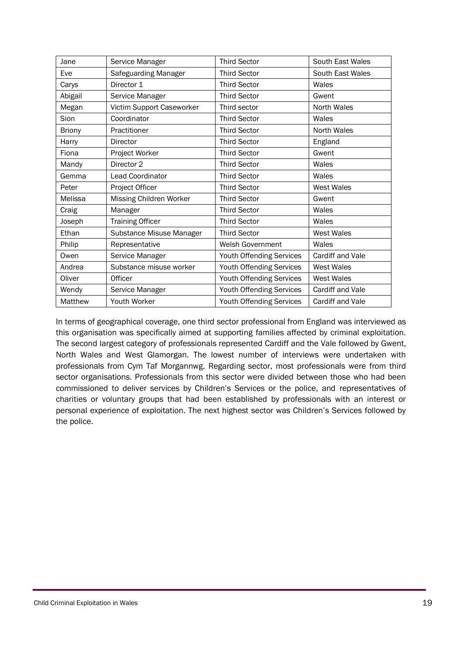| Jane          | Service Manager           | <b>Third Sector</b>             | South East Wales   |
|---------------|---------------------------|---------------------------------|--------------------|
| Eve           | Safeguarding Manager      | <b>Third Sector</b>             | South East Wales   |
| Carys         | Director 1                | <b>Third Sector</b>             | Wales              |
| Abigail       | Service Manager           | <b>Third Sector</b>             | Gwent              |
| Megan         | Victim Support Caseworker | Third sector                    | North Wales        |
| Sion          | Coordinator               | <b>Third Sector</b>             | Wales              |
| <b>Briony</b> | Practitioner              | <b>Third Sector</b>             | <b>North Wales</b> |
| Harry         | Director                  | <b>Third Sector</b>             | England            |
| Fiona         | Project Worker            | <b>Third Sector</b>             | Gwent              |
| Mandy         | Director 2                | <b>Third Sector</b>             | Wales              |
| Gemma         | <b>Lead Coordinator</b>   | <b>Third Sector</b>             | Wales              |
| Peter         | Project Officer           | <b>Third Sector</b>             | <b>West Wales</b>  |
| Melissa       | Missing Children Worker   | <b>Third Sector</b>             | Gwent              |
| Craig         | Manager                   | <b>Third Sector</b>             | Wales              |
| Joseph        | <b>Training Officer</b>   | <b>Third Sector</b>             | Wales              |
| Ethan         | Substance Misuse Manager  | <b>Third Sector</b>             | <b>West Wales</b>  |
| Philip        | Representative            | Welsh Government                | Wales              |
| Owen          | Service Manager           | Youth Offending Services        | Cardiff and Vale   |
| Andrea        | Substance misuse worker   | Youth Offending Services        | <b>West Wales</b>  |
| Oliver        | Officer                   | Youth Offending Services        | <b>West Wales</b>  |
| Wendy         | Service Manager           | Youth Offending Services        | Cardiff and Vale   |
| Matthew       | Youth Worker              | <b>Youth Offending Services</b> | Cardiff and Vale   |

In terms of geographical coverage, one third sector professional from England was interviewed as this organisation was specifically aimed at supporting families affected by criminal exploitation. The second largest category of professionals represented Cardiff and the Vale followed by Gwent, North Wales and West Glamorgan. The lowest number of interviews were undertaken with professionals from Cym Taf Morgannwg. Regarding sector, most professionals were from third sector organisations. Professionals from this sector were divided between those who had been commissioned to deliver services by Children's Services or the police, and representatives of charities or voluntary groups that had been established by professionals with an interest or personal experience of exploitation. The next highest sector was Children's Services followed by the police.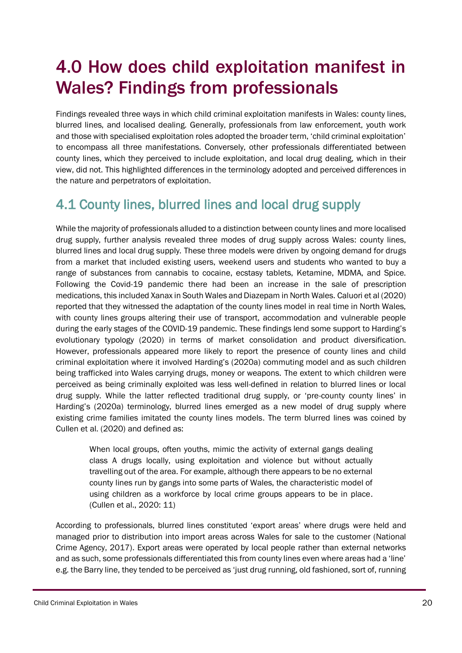## <span id="page-19-0"></span>4.0 How does child exploitation manifest in Wales? Findings from professionals

Findings revealed three ways in which child criminal exploitation manifests in Wales: county lines, blurred lines, and localised dealing. Generally, professionals from law enforcement, youth work and those with specialised exploitation roles adopted the broader term, 'child criminal exploitation' to encompass all three manifestations. Conversely, other professionals differentiated between county lines, which they perceived to include exploitation, and local drug dealing, which in their view, did not. This highlighted differences in the terminology adopted and perceived differences in the nature and perpetrators of exploitation.

## <span id="page-19-1"></span>4.1 County lines, blurred lines and local drug supply

While the majority of professionals alluded to a distinction between county lines and more localised drug supply, further analysis revealed three modes of drug supply across Wales: county lines, blurred lines and local drug supply. These three models were driven by ongoing demand for drugs from a market that included existing users, weekend users and students who wanted to buy a range of substances from cannabis to cocaine, ecstasy tablets, Ketamine, MDMA, and Spice. Following the Covid-19 pandemic there had been an increase in the sale of prescription medications, this included Xanax in South Wales and Diazepam in North Wales. Caluori et al (2020) reported that they witnessed the adaptation of the county lines model in real time in North Wales, with county lines groups altering their use of transport, accommodation and vulnerable people during the early stages of the COVID-19 pandemic. These findings lend some support to Harding's evolutionary typology (2020) in terms of market consolidation and product diversification. However, professionals appeared more likely to report the presence of county lines and child criminal exploitation where it involved Harding's (2020a) commuting model and as such children being trafficked into Wales carrying drugs, money or weapons. The extent to which children were perceived as being criminally exploited was less well-defined in relation to blurred lines or local drug supply. While the latter reflected traditional drug supply, or 'pre-county county lines' in Harding's (2020a) terminology, blurred lines emerged as a new model of drug supply where existing crime families imitated the county lines models. The term blurred lines was coined by Cullen et al. (2020) and defined as:

When local groups, often youths, mimic the activity of external gangs dealing class A drugs locally, using exploitation and violence but without actually travelling out of the area. For example, although there appears to be no external county lines run by gangs into some parts of Wales, the characteristic model of using children as a workforce by local crime groups appears to be in place. (Cullen et al., 2020: 11)

According to professionals, blurred lines constituted 'export areas' where drugs were held and managed prior to distribution into import areas across Wales for sale to the customer (National Crime Agency, 2017). Export areas were operated by local people rather than external networks and as such, some professionals differentiated this from county lines even where areas had a 'line' e.g. the Barry line, they tended to be perceived as 'just drug running, old fashioned, sort of, running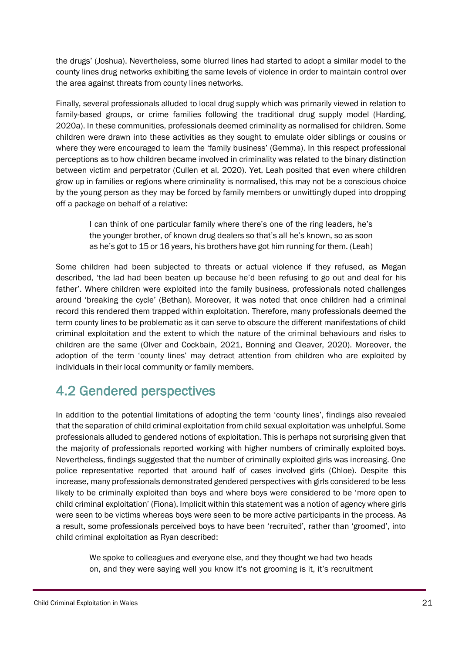the drugs' (Joshua). Nevertheless, some blurred lines had started to adopt a similar model to the county lines drug networks exhibiting the same levels of violence in order to maintain control over the area against threats from county lines networks.

Finally, several professionals alluded to local drug supply which was primarily viewed in relation to family-based groups, or crime families following the traditional drug supply model (Harding, 2020a). In these communities, professionals deemed criminality as normalised for children. Some children were drawn into these activities as they sought to emulate older siblings or cousins or where they were encouraged to learn the 'family business' (Gemma). In this respect professional perceptions as to how children became involved in criminality was related to the binary distinction between victim and perpetrator (Cullen et al, 2020). Yet, Leah posited that even where children grow up in families or regions where criminality is normalised, this may not be a conscious choice by the young person as they may be forced by family members or unwittingly duped into dropping off a package on behalf of a relative:

I can think of one particular family where there's one of the ring leaders, he's the younger brother, of known drug dealers so that's all he's known, so as soon as he's got to 15 or 16 years, his brothers have got him running for them. (Leah)

Some children had been subjected to threats or actual violence if they refused, as Megan described, 'the lad had been beaten up because he'd been refusing to go out and deal for his father'. Where children were exploited into the family business, professionals noted challenges around 'breaking the cycle' (Bethan). Moreover, it was noted that once children had a criminal record this rendered them trapped within exploitation. Therefore, many professionals deemed the term county lines to be problematic as it can serve to obscure the different manifestations of child criminal exploitation and the extent to which the nature of the criminal behaviours and risks to children are the same (Olver and Cockbain, 2021, Bonning and Cleaver, 2020). Moreover, the adoption of the term 'county lines' may detract attention from children who are exploited by individuals in their local community or family members.

### <span id="page-20-0"></span>4.2 Gendered perspectives

In addition to the potential limitations of adopting the term 'county lines', findings also revealed that the separation of child criminal exploitation from child sexual exploitation was unhelpful. Some professionals alluded to gendered notions of exploitation. This is perhaps not surprising given that the majority of professionals reported working with higher numbers of criminally exploited boys. Nevertheless, findings suggested that the number of criminally exploited girls was increasing. One police representative reported that around half of cases involved girls (Chloe). Despite this increase, many professionals demonstrated gendered perspectives with girls considered to be less likely to be criminally exploited than boys and where boys were considered to be 'more open to child criminal exploitation' (Fiona). Implicit within this statement was a notion of agency where girls were seen to be victims whereas boys were seen to be more active participants in the process. As a result, some professionals perceived boys to have been 'recruited', rather than 'groomed', into child criminal exploitation as Ryan described:

We spoke to colleagues and everyone else, and they thought we had two heads on, and they were saying well you know it's not grooming is it, it's recruitment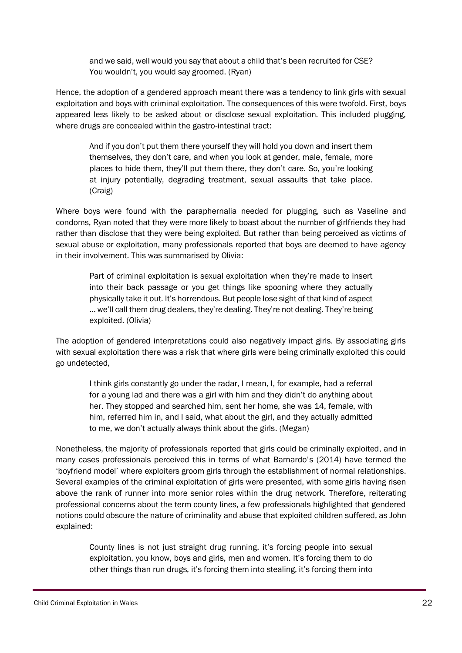and we said, well would you say that about a child that's been recruited for CSE? You wouldn't, you would say groomed. (Ryan)

Hence, the adoption of a gendered approach meant there was a tendency to link girls with sexual exploitation and boys with criminal exploitation. The consequences of this were twofold. First, boys appeared less likely to be asked about or disclose sexual exploitation. This included plugging, where drugs are concealed within the gastro-intestinal tract:

And if you don't put them there yourself they will hold you down and insert them themselves, they don't care, and when you look at gender, male, female, more places to hide them, they'll put them there, they don't care. So, you're looking at injury potentially, degrading treatment, sexual assaults that take place. (Craig)

Where boys were found with the paraphernalia needed for plugging, such as Vaseline and condoms, Ryan noted that they were more likely to boast about the number of girlfriends they had rather than disclose that they were being exploited. But rather than being perceived as victims of sexual abuse or exploitation, many professionals reported that boys are deemed to have agency in their involvement. This was summarised by Olivia:

Part of criminal exploitation is sexual exploitation when they're made to insert into their back passage or you get things like spooning where they actually physically take it out. It's horrendous. But people lose sight of that kind of aspect … we'll call them drug dealers, they're dealing. They're not dealing. They're being exploited. (Olivia)

The adoption of gendered interpretations could also negatively impact girls. By associating girls with sexual exploitation there was a risk that where girls were being criminally exploited this could go undetected,

I think girls constantly go under the radar, I mean, I, for example, had a referral for a young lad and there was a girl with him and they didn't do anything about her. They stopped and searched him, sent her home, she was 14, female, with him, referred him in, and I said, what about the girl, and they actually admitted to me, we don't actually always think about the girls. (Megan)

Nonetheless, the majority of professionals reported that girls could be criminally exploited, and in many cases professionals perceived this in terms of what Barnardo's (2014) have termed the 'boyfriend model' where exploiters groom girls through the establishment of normal relationships. Several examples of the criminal exploitation of girls were presented, with some girls having risen above the rank of runner into more senior roles within the drug network. Therefore, reiterating professional concerns about the term county lines, a few professionals highlighted that gendered notions could obscure the nature of criminality and abuse that exploited children suffered, as John explained:

County lines is not just straight drug running, it's forcing people into sexual exploitation, you know, boys and girls, men and women. It's forcing them to do other things than run drugs, it's forcing them into stealing, it's forcing them into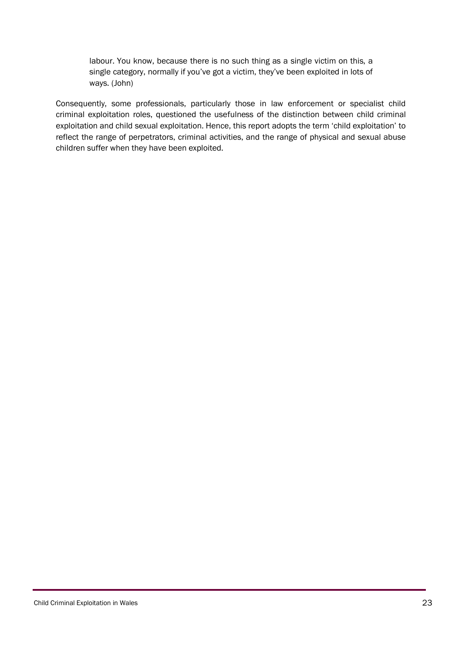labour. You know, because there is no such thing as a single victim on this, a single category, normally if you've got a victim, they've been exploited in lots of ways. (John)

Consequently, some professionals, particularly those in law enforcement or specialist child criminal exploitation roles, questioned the usefulness of the distinction between child criminal exploitation and child sexual exploitation. Hence, this report adopts the term 'child exploitation' to reflect the range of perpetrators, criminal activities, and the range of physical and sexual abuse children suffer when they have been exploited.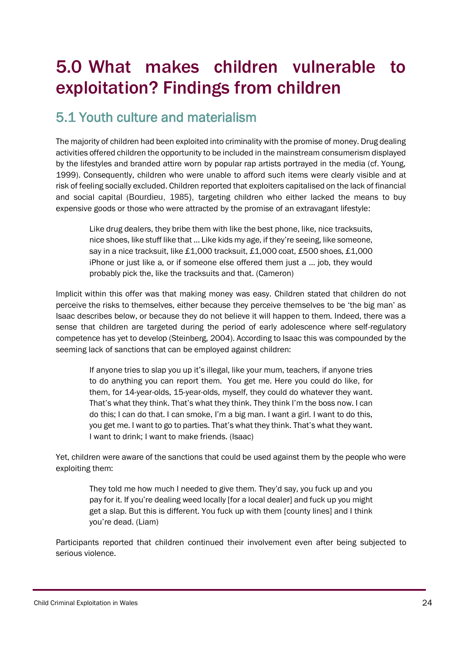## <span id="page-23-0"></span>5.0 What makes children vulnerable to exploitation? Findings from children

### <span id="page-23-1"></span>5.1 Youth culture and materialism

The majority of children had been exploited into criminality with the promise of money. Drug dealing activities offered children the opportunity to be included in the mainstream consumerism displayed by the lifestyles and branded attire worn by popular rap artists portrayed in the media (cf. Young, 1999). Consequently, children who were unable to afford such items were clearly visible and at risk of feeling socially excluded. Children reported that exploiters capitalised on the lack of financial and social capital (Bourdieu, 1985), targeting children who either lacked the means to buy expensive goods or those who were attracted by the promise of an extravagant lifestyle:

Like drug dealers, they bribe them with like the best phone, like, nice tracksuits, nice shoes, like stuff like that … Like kids my age, if they're seeing, like someone, say in a nice tracksuit, like £1,000 tracksuit, £1,000 coat, £500 shoes, £1,000 iPhone or just like a, or if someone else offered them just a … job, they would probably pick the, like the tracksuits and that. (Cameron)

Implicit within this offer was that making money was easy. Children stated that children do not perceive the risks to themselves, either because they perceive themselves to be 'the big man' as Isaac describes below, or because they do not believe it will happen to them. Indeed, there was a sense that children are targeted during the period of early adolescence where self-regulatory competence has yet to develop (Steinberg, 2004). According to Isaac this was compounded by the seeming lack of sanctions that can be employed against children:

If anyone tries to slap you up it's illegal, like your mum, teachers, if anyone tries to do anything you can report them. You get me. Here you could do like, for them, for 14-year-olds, 15-year-olds, myself, they could do whatever they want. That's what they think. That's what they think. They think I'm the boss now. I can do this; I can do that. I can smoke, I'm a big man. I want a girl. I want to do this, you get me. I want to go to parties. That's what they think. That's what they want. I want to drink; I want to make friends. (Isaac)

Yet, children were aware of the sanctions that could be used against them by the people who were exploiting them:

They told me how much I needed to give them. They'd say, you fuck up and you pay for it. If you're dealing weed locally [for a local dealer] and fuck up you might get a slap. But this is different. You fuck up with them [county lines] and I think you're dead. (Liam)

Participants reported that children continued their involvement even after being subjected to serious violence.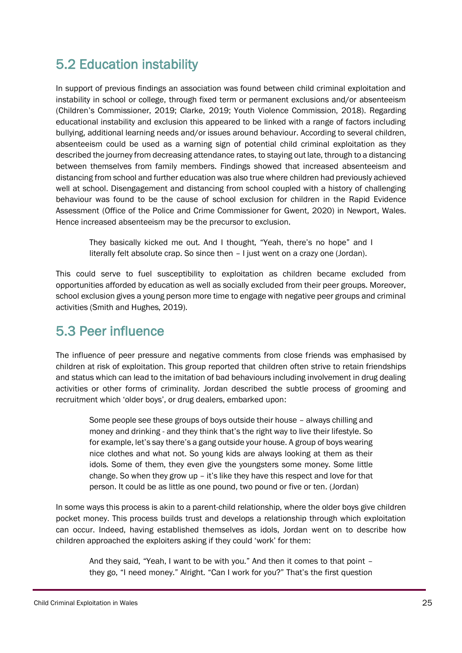### <span id="page-24-0"></span>5.2 Education instability

In support of previous findings an association was found between child criminal exploitation and instability in school or college, through fixed term or permanent exclusions and/or absenteeism (Children's Commissioner, 2019; Clarke, 2019; Youth Violence Commission, 2018). Regarding educational instability and exclusion this appeared to be linked with a range of factors including bullying, additional learning needs and/or issues around behaviour. According to several children, absenteeism could be used as a warning sign of potential child criminal exploitation as they described the journey from decreasing attendance rates, to staying out late, through to a distancing between themselves from family members. Findings showed that increased absenteeism and distancing from school and further education was also true where children had previously achieved well at school. Disengagement and distancing from school coupled with a history of challenging behaviour was found to be the cause of school exclusion for children in the Rapid Evidence Assessment (Office of the Police and Crime Commissioner for Gwent, 2020) in Newport, Wales. Hence increased absenteeism may be the precursor to exclusion.

They basically kicked me out. And I thought, "Yeah, there's no hope" and I literally felt absolute crap. So since then – I just went on a crazy one (Jordan).

This could serve to fuel susceptibility to exploitation as children became excluded from opportunities afforded by education as well as socially excluded from their peer groups. Moreover, school exclusion gives a young person more time to engage with negative peer groups and criminal activities (Smith and Hughes, 2019).

### <span id="page-24-1"></span>5.3 Peer influence

The influence of peer pressure and negative comments from close friends was emphasised by children at risk of exploitation. This group reported that children often strive to retain friendships and status which can lead to the imitation of bad behaviours including involvement in drug dealing activities or other forms of criminality. Jordan described the subtle process of grooming and recruitment which 'older boys', or drug dealers, embarked upon:

Some people see these groups of boys outside their house – always chilling and money and drinking - and they think that's the right way to live their lifestyle. So for example, let's say there's a gang outside your house. A group of boys wearing nice clothes and what not. So young kids are always looking at them as their idols. Some of them, they even give the youngsters some money. Some little change. So when they grow up – it's like they have this respect and love for that person. It could be as little as one pound, two pound or five or ten. (Jordan)

In some ways this process is akin to a parent-child relationship, where the older boys give children pocket money. This process builds trust and develops a relationship through which exploitation can occur. Indeed, having established themselves as idols, Jordan went on to describe how children approached the exploiters asking if they could 'work' for them:

And they said, "Yeah, I want to be with you." And then it comes to that point – they go, "I need money." Alright. "Can I work for you?" That's the first question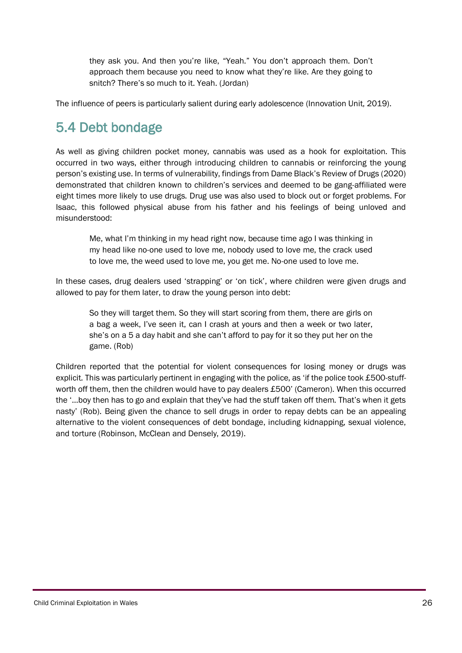they ask you. And then you're like, "Yeah." You don't approach them. Don't approach them because you need to know what they're like. Are they going to snitch? There's so much to it. Yeah. (Jordan)

The influence of peers is particularly salient during early adolescence (Innovation Unit, 2019).

### <span id="page-25-0"></span>5.4 Debt bondage

As well as giving children pocket money, cannabis was used as a hook for exploitation. This occurred in two ways, either through introducing children to cannabis or reinforcing the young person's existing use. In terms of vulnerability, findings from Dame Black's Review of Drugs (2020) demonstrated that children known to children's services and deemed to be gang-affiliated were eight times more likely to use drugs. Drug use was also used to block out or forget problems. For Isaac, this followed physical abuse from his father and his feelings of being unloved and misunderstood:

Me, what I'm thinking in my head right now, because time ago I was thinking in my head like no-one used to love me, nobody used to love me, the crack used to love me, the weed used to love me, you get me. No-one used to love me.

In these cases, drug dealers used 'strapping' or 'on tick', where children were given drugs and allowed to pay for them later, to draw the young person into debt:

So they will target them. So they will start scoring from them, there are girls on a bag a week, I've seen it, can I crash at yours and then a week or two later, she's on a 5 a day habit and she can't afford to pay for it so they put her on the game. (Rob)

Children reported that the potential for violent consequences for losing money or drugs was explicit. This was particularly pertinent in engaging with the police, as 'if the police took £500-stuffworth off them, then the children would have to pay dealers £500' (Cameron). When this occurred the '…boy then has to go and explain that they've had the stuff taken off them. That's when it gets nasty' (Rob). Being given the chance to sell drugs in order to repay debts can be an appealing alternative to the violent consequences of debt bondage, including kidnapping, sexual violence, and torture (Robinson, McClean and Densely, 2019).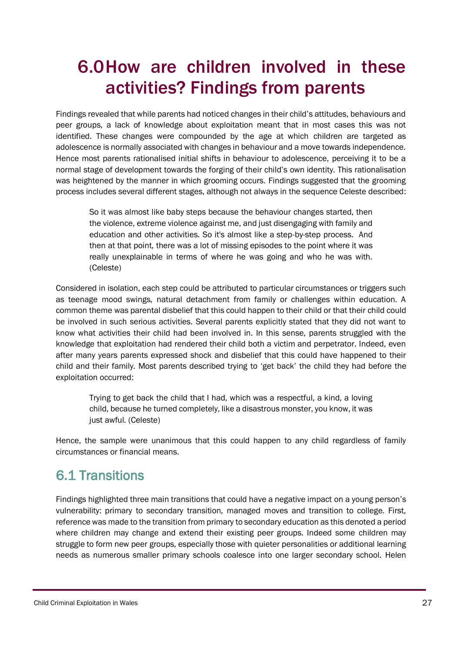## <span id="page-26-0"></span>6.0How are children involved in these activities? Findings from parents

Findings revealed that while parents had noticed changes in their child's attitudes, behaviours and peer groups, a lack of knowledge about exploitation meant that in most cases this was not identified. These changes were compounded by the age at which children are targeted as adolescence is normally associated with changes in behaviour and a move towards independence. Hence most parents rationalised initial shifts in behaviour to adolescence, perceiving it to be a normal stage of development towards the forging of their child's own identity. This rationalisation was heightened by the manner in which grooming occurs. Findings suggested that the grooming process includes several different stages, although not always in the sequence Celeste described:

So it was almost like baby steps because the behaviour changes started, then the violence, extreme violence against me, and just disengaging with family and education and other activities. So it's almost like a step-by-step process. And then at that point, there was a lot of missing episodes to the point where it was really unexplainable in terms of where he was going and who he was with. (Celeste)

Considered in isolation, each step could be attributed to particular circumstances or triggers such as teenage mood swings, natural detachment from family or challenges within education. A common theme was parental disbelief that this could happen to their child or that their child could be involved in such serious activities. Several parents explicitly stated that they did not want to know what activities their child had been involved in. In this sense, parents struggled with the knowledge that exploitation had rendered their child both a victim and perpetrator. Indeed, even after many years parents expressed shock and disbelief that this could have happened to their child and their family. Most parents described trying to 'get back' the child they had before the exploitation occurred:

Trying to get back the child that I had, which was a respectful, a kind, a loving child, because he turned completely, like a disastrous monster, you know, it was just awful. (Celeste)

Hence, the sample were unanimous that this could happen to any child regardless of family circumstances or financial means.

### <span id="page-26-1"></span>6.1 Transitions

Findings highlighted three main transitions that could have a negative impact on a young person's vulnerability: primary to secondary transition, managed moves and transition to college. First, reference was made to the transition from primary to secondary education as this denoted a period where children may change and extend their existing peer groups. Indeed some children may struggle to form new peer groups, especially those with quieter personalities or additional learning needs as numerous smaller primary schools coalesce into one larger secondary school. Helen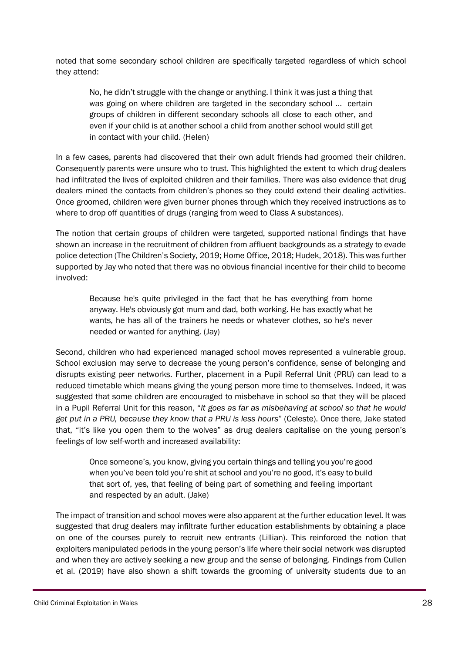noted that some secondary school children are specifically targeted regardless of which school they attend:

No, he didn't struggle with the change or anything. I think it was just a thing that was going on where children are targeted in the secondary school ... certain groups of children in different secondary schools all close to each other, and even if your child is at another school a child from another school would still get in contact with your child. (Helen)

In a few cases, parents had discovered that their own adult friends had groomed their children. Consequently parents were unsure who to trust. This highlighted the extent to which drug dealers had infiltrated the lives of exploited children and their families. There was also evidence that drug dealers mined the contacts from children's phones so they could extend their dealing activities. Once groomed, children were given burner phones through which they received instructions as to where to drop off quantities of drugs (ranging from weed to Class A substances).

The notion that certain groups of children were targeted, supported national findings that have shown an increase in the recruitment of children from affluent backgrounds as a strategy to evade police detection (The Children's Society, 2019; Home Office, 2018; Hudek, 2018). This was further supported by Jay who noted that there was no obvious financial incentive for their child to become involved:

Because he's quite privileged in the fact that he has everything from home anyway. He's obviously got mum and dad, both working. He has exactly what he wants, he has all of the trainers he needs or whatever clothes, so he's never needed or wanted for anything. (Jay)

Second, children who had experienced managed school moves represented a vulnerable group. School exclusion may serve to decrease the young person's confidence, sense of belonging and disrupts existing peer networks. Further, placement in a Pupil Referral Unit (PRU) can lead to a reduced timetable which means giving the young person more time to themselves. Indeed, it was suggested that some children are encouraged to misbehave in school so that they will be placed in a Pupil Referral Unit for this reason, "*It goes as far as misbehaving at school so that he would get put in a PRU, because they know that a PRU is less hours*" (Celeste). Once there, Jake stated that, "it's like you open them to the wolves" as drug dealers capitalise on the young person's feelings of low self-worth and increased availability:

Once someone's, you know, giving you certain things and telling you you're good when you've been told you're shit at school and you're no good, it's easy to build that sort of, yes, that feeling of being part of something and feeling important and respected by an adult. (Jake)

The impact of transition and school moves were also apparent at the further education level. It was suggested that drug dealers may infiltrate further education establishments by obtaining a place on one of the courses purely to recruit new entrants (Lillian). This reinforced the notion that exploiters manipulated periods in the young person's life where their social network was disrupted and when they are actively seeking a new group and the sense of belonging. Findings from Cullen et al. (2019) have also shown a shift towards the grooming of university students due to an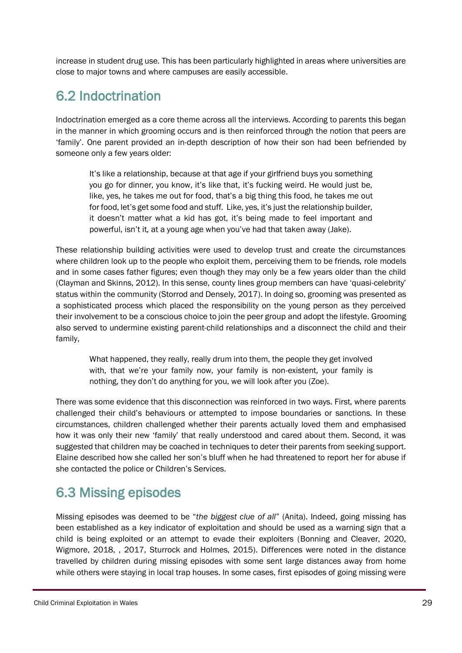increase in student drug use. This has been particularly highlighted in areas where universities are close to major towns and where campuses are easily accessible.

## <span id="page-28-0"></span>6.2 Indoctrination

Indoctrination emerged as a core theme across all the interviews. According to parents this began in the manner in which grooming occurs and is then reinforced through the notion that peers are 'family'. One parent provided an in-depth description of how their son had been befriended by someone only a few years older:

It's like a relationship, because at that age if your girlfriend buys you something you go for dinner, you know, it's like that, it's fucking weird. He would just be, like, yes, he takes me out for food, that's a big thing this food, he takes me out for food, let's get some food and stuff. Like, yes, it's just the relationship builder, it doesn't matter what a kid has got, it's being made to feel important and powerful, isn't it, at a young age when you've had that taken away (Jake).

These relationship building activities were used to develop trust and create the circumstances where children look up to the people who exploit them, perceiving them to be friends, role models and in some cases father figures; even though they may only be a few years older than the child (Clayman and Skinns, 2012). In this sense, county lines group members can have 'quasi-celebrity' status within the community (Storrod and Densely, 2017). In doing so, grooming was presented as a sophisticated process which placed the responsibility on the young person as they perceived their involvement to be a conscious choice to join the peer group and adopt the lifestyle. Grooming also served to undermine existing parent-child relationships and a disconnect the child and their family,

What happened, they really, really drum into them, the people they get involved with, that we're your family now, your family is non-existent, your family is nothing, they don't do anything for you, we will look after you (Zoe).

There was some evidence that this disconnection was reinforced in two ways. First, where parents challenged their child's behaviours or attempted to impose boundaries or sanctions. In these circumstances, children challenged whether their parents actually loved them and emphasised how it was only their new 'family' that really understood and cared about them. Second, it was suggested that children may be coached in techniques to deter their parents from seeking support. Elaine described how she called her son's bluff when he had threatened to report her for abuse if she contacted the police or Children's Services.

### <span id="page-28-1"></span>6.3 Missing episodes

Missing episodes was deemed to be "*the biggest clue of all*" (Anita). Indeed, going missing has been established as a key indicator of exploitation and should be used as a warning sign that a child is being exploited or an attempt to evade their exploiters (Bonning and Cleaver, 2020, Wigmore, 2018, , 2017, Sturrock and Holmes, 2015). Differences were noted in the distance travelled by children during missing episodes with some sent large distances away from home while others were staying in local trap houses. In some cases, first episodes of going missing were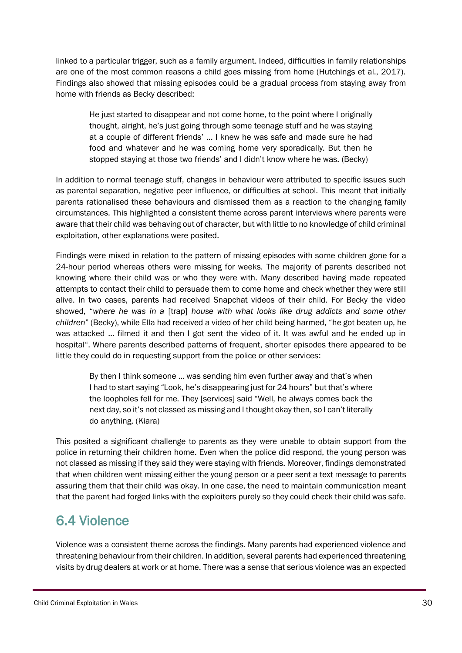linked to a particular trigger, such as a family argument. Indeed, difficulties in family relationships are one of the most common reasons a child goes missing from home (Hutchings et al., 2017). Findings also showed that missing episodes could be a gradual process from staying away from home with friends as Becky described:

He just started to disappear and not come home, to the point where I originally thought, alright, he's just going through some teenage stuff and he was staying at a couple of different friends' ... I knew he was safe and made sure he had food and whatever and he was coming home very sporadically. But then he stopped staying at those two friends' and I didn't know where he was. (Becky)

In addition to normal teenage stuff, changes in behaviour were attributed to specific issues such as parental separation, negative peer influence, or difficulties at school. This meant that initially parents rationalised these behaviours and dismissed them as a reaction to the changing family circumstances. This highlighted a consistent theme across parent interviews where parents were aware that their child was behaving out of character, but with little to no knowledge of child criminal exploitation, other explanations were posited.

Findings were mixed in relation to the pattern of missing episodes with some children gone for a 24-hour period whereas others were missing for weeks. The majority of parents described not knowing where their child was or who they were with. Many described having made repeated attempts to contact their child to persuade them to come home and check whether they were still alive. In two cases, parents had received Snapchat videos of their child. For Becky the video showed, "*where he was in a* [trap] *house with what looks like drug addicts and some other children*" (Becky), while Ella had received a video of her child being harmed, "he got beaten up, he was attacked … filmed it and then I got sent the video of it. It was awful and he ended up in hospital". Where parents described patterns of frequent, shorter episodes there appeared to be little they could do in requesting support from the police or other services:

By then I think someone … was sending him even further away and that's when I had to start saying "Look, he's disappearing just for 24 hours" but that's where the loopholes fell for me. They [services] said "Well, he always comes back the next day, so it's not classed as missing and I thought okay then, so I can't literally do anything. (Kiara)

This posited a significant challenge to parents as they were unable to obtain support from the police in returning their children home. Even when the police did respond, the young person was not classed as missing if they said they were staying with friends. Moreover, findings demonstrated that when children went missing either the young person or a peer sent a text message to parents assuring them that their child was okay. In one case, the need to maintain communication meant that the parent had forged links with the exploiters purely so they could check their child was safe.

## <span id="page-29-0"></span>6.4 Violence

Violence was a consistent theme across the findings. Many parents had experienced violence and threatening behaviour from their children. In addition, several parents had experienced threatening visits by drug dealers at work or at home. There was a sense that serious violence was an expected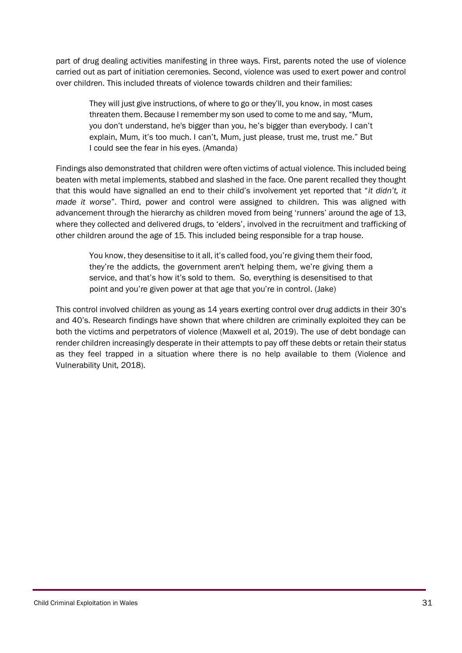part of drug dealing activities manifesting in three ways. First, parents noted the use of violence carried out as part of initiation ceremonies. Second, violence was used to exert power and control over children. This included threats of violence towards children and their families:

They will just give instructions, of where to go or they'll, you know, in most cases threaten them. Because I remember my son used to come to me and say, "Mum, you don't understand, he's bigger than you, he's bigger than everybody. I can't explain, Mum, it's too much. I can't, Mum, just please, trust me, trust me." But I could see the fear in his eyes. (Amanda)

Findings also demonstrated that children were often victims of actual violence. This included being beaten with metal implements, stabbed and slashed in the face. One parent recalled they thought that this would have signalled an end to their child's involvement yet reported that "*it didn't, it made it worse*". Third, power and control were assigned to children. This was aligned with advancement through the hierarchy as children moved from being 'runners' around the age of 13, where they collected and delivered drugs, to 'elders', involved in the recruitment and trafficking of other children around the age of 15. This included being responsible for a trap house.

You know, they desensitise to it all, it's called food, you're giving them their food, they're the addicts, the government aren't helping them, we're giving them a service, and that's how it's sold to them. So, everything is desensitised to that point and you're given power at that age that you're in control. (Jake)

This control involved children as young as 14 years exerting control over drug addicts in their 30's and 40's. Research findings have shown that where children are criminally exploited they can be both the victims and perpetrators of violence (Maxwell et al, 2019). The use of debt bondage can render children increasingly desperate in their attempts to pay off these debts or retain their status as they feel trapped in a situation where there is no help available to them (Violence and Vulnerability Unit, 2018).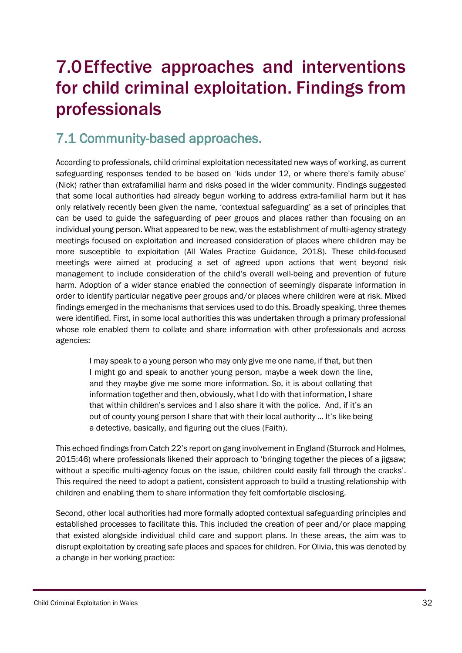## <span id="page-31-0"></span>7.0Effective approaches and interventions for child criminal exploitation. Findings from professionals

### <span id="page-31-1"></span>7.1 Community-based approaches.

According to professionals, child criminal exploitation necessitated new ways of working, as current safeguarding responses tended to be based on 'kids under 12, or where there's family abuse' (Nick) rather than extrafamilial harm and risks posed in the wider community. Findings suggested that some local authorities had already begun working to address extra-familial harm but it has only relatively recently been given the name, 'contextual safeguarding' as a set of principles that can be used to guide the safeguarding of peer groups and places rather than focusing on an individual young person. What appeared to be new, was the establishment of multi-agency strategy meetings focused on exploitation and increased consideration of places where children may be more susceptible to exploitation (All Wales Practice Guidance, 2018). These child-focused meetings were aimed at producing a set of agreed upon actions that went beyond risk management to include consideration of the child's overall well-being and prevention of future harm. Adoption of a wider stance enabled the connection of seemingly disparate information in order to identify particular negative peer groups and/or places where children were at risk. Mixed findings emerged in the mechanisms that services used to do this. Broadly speaking, three themes were identified. First, in some local authorities this was undertaken through a primary professional whose role enabled them to collate and share information with other professionals and across agencies:

I may speak to a young person who may only give me one name, if that, but then I might go and speak to another young person, maybe a week down the line, and they maybe give me some more information. So, it is about collating that information together and then, obviously, what I do with that information, I share that within children's services and I also share it with the police. And, if it's an out of county young person I share that with their local authority … It's like being a detective, basically, and figuring out the clues (Faith).

This echoed findings from Catch 22's report on gang involvement in England (Sturrock and Holmes, 2015:46) where professionals likened their approach to 'bringing together the pieces of a jigsaw; without a specific multi-agency focus on the issue, children could easily fall through the cracks'. This required the need to adopt a patient, consistent approach to build a trusting relationship with children and enabling them to share information they felt comfortable disclosing.

Second, other local authorities had more formally adopted contextual safeguarding principles and established processes to facilitate this. This included the creation of peer and/or place mapping that existed alongside individual child care and support plans. In these areas, the aim was to disrupt exploitation by creating safe places and spaces for children. For Olivia, this was denoted by a change in her working practice: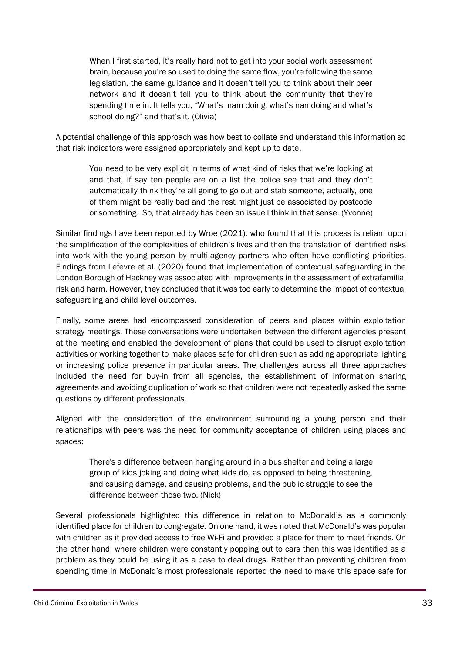When I first started, it's really hard not to get into your social work assessment brain, because you're so used to doing the same flow, you're following the same legislation, the same guidance and it doesn't tell you to think about their peer network and it doesn't tell you to think about the community that they're spending time in. It tells you, "What's mam doing, what's nan doing and what's school doing?" and that's it. (Olivia)

A potential challenge of this approach was how best to collate and understand this information so that risk indicators were assigned appropriately and kept up to date.

You need to be very explicit in terms of what kind of risks that we're looking at and that, if say ten people are on a list the police see that and they don't automatically think they're all going to go out and stab someone, actually, one of them might be really bad and the rest might just be associated by postcode or something. So, that already has been an issue I think in that sense. (Yvonne)

Similar findings have been reported by Wroe (2021), who found that this process is reliant upon the simplification of the complexities of children's lives and then the translation of identified risks into work with the young person by multi-agency partners who often have conflicting priorities. Findings from Lefevre et al. (2020) found that implementation of contextual safeguarding in the London Borough of Hackney was associated with improvements in the assessment of extrafamilial risk and harm. However, they concluded that it was too early to determine the impact of contextual safeguarding and child level outcomes.

Finally, some areas had encompassed consideration of peers and places within exploitation strategy meetings. These conversations were undertaken between the different agencies present at the meeting and enabled the development of plans that could be used to disrupt exploitation activities or working together to make places safe for children such as adding appropriate lighting or increasing police presence in particular areas. The challenges across all three approaches included the need for buy-in from all agencies, the establishment of information sharing agreements and avoiding duplication of work so that children were not repeatedly asked the same questions by different professionals.

Aligned with the consideration of the environment surrounding a young person and their relationships with peers was the need for community acceptance of children using places and spaces:

There's a difference between hanging around in a bus shelter and being a large group of kids joking and doing what kids do, as opposed to being threatening, and causing damage, and causing problems, and the public struggle to see the difference between those two. (Nick)

Several professionals highlighted this difference in relation to McDonald's as a commonly identified place for children to congregate. On one hand, it was noted that McDonald's was popular with children as it provided access to free Wi-Fi and provided a place for them to meet friends. On the other hand, where children were constantly popping out to cars then this was identified as a problem as they could be using it as a base to deal drugs. Rather than preventing children from spending time in McDonald's most professionals reported the need to make this space safe for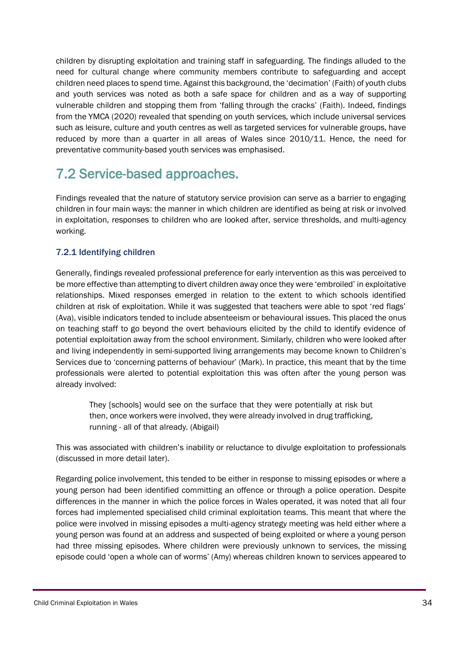children by disrupting exploitation and training staff in safeguarding. The findings alluded to the need for cultural change where community members contribute to safeguarding and accept children need places to spend time. Against this background, the 'decimation' (Faith) of youth clubs and youth services was noted as both a safe space for children and as a way of supporting vulnerable children and stopping them from 'falling through the cracks' (Faith). Indeed, findings from the YMCA (2020) revealed that spending on youth services, which include universal services such as leisure, culture and youth centres as well as targeted services for vulnerable groups, have reduced by more than a quarter in all areas of Wales since 2010/11. Hence, the need for preventative community-based youth services was emphasised.

## <span id="page-33-0"></span>7.2 Service-based approaches.

Findings revealed that the nature of statutory service provision can serve as a barrier to engaging children in four main ways: the manner in which children are identified as being at risk or involved in exploitation, responses to children who are looked after, service thresholds, and multi-agency working.

### <span id="page-33-1"></span>7.2.1 Identifying children

Generally, findings revealed professional preference for early intervention as this was perceived to be more effective than attempting to divert children away once they were 'embroiled' in exploitative relationships. Mixed responses emerged in relation to the extent to which schools identified children at risk of exploitation. While it was suggested that teachers were able to spot 'red flags' (Ava), visible indicators tended to include absenteeism or behavioural issues. This placed the onus on teaching staff to go beyond the overt behaviours elicited by the child to identify evidence of potential exploitation away from the school environment. Similarly, children who were looked after and living independently in semi-supported living arrangements may become known to Children's Services due to 'concerning patterns of behaviour' (Mark). In practice, this meant that by the time professionals were alerted to potential exploitation this was often after the young person was already involved:

They [schools] would see on the surface that they were potentially at risk but then, once workers were involved, they were already involved in drug trafficking, running - all of that already. (Abigail)

This was associated with children's inability or reluctance to divulge exploitation to professionals (discussed in more detail later).

Regarding police involvement, this tended to be either in response to missing episodes or where a young person had been identified committing an offence or through a police operation. Despite differences in the manner in which the police forces in Wales operated, it was noted that all four forces had implemented specialised child criminal exploitation teams. This meant that where the police were involved in missing episodes a multi-agency strategy meeting was held either where a young person was found at an address and suspected of being exploited or where a young person had three missing episodes. Where children were previously unknown to services, the missing episode could 'open a whole can of worms' (Amy) whereas children known to services appeared to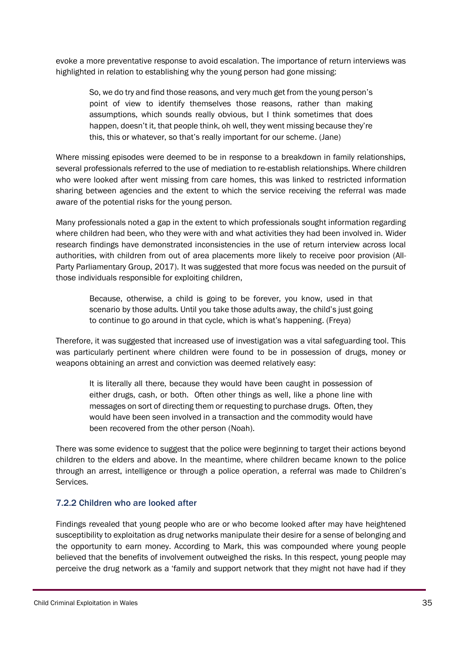evoke a more preventative response to avoid escalation. The importance of return interviews was highlighted in relation to establishing why the young person had gone missing:

So, we do try and find those reasons, and very much get from the young person's point of view to identify themselves those reasons, rather than making assumptions, which sounds really obvious, but I think sometimes that does happen, doesn't it, that people think, oh well, they went missing because they're this, this or whatever, so that's really important for our scheme. (Jane)

Where missing episodes were deemed to be in response to a breakdown in family relationships, several professionals referred to the use of mediation to re-establish relationships. Where children who were looked after went missing from care homes, this was linked to restricted information sharing between agencies and the extent to which the service receiving the referral was made aware of the potential risks for the young person.

Many professionals noted a gap in the extent to which professionals sought information regarding where children had been, who they were with and what activities they had been involved in. Wider research findings have demonstrated inconsistencies in the use of return interview across local authorities, with children from out of area placements more likely to receive poor provision (All-Party Parliamentary Group, 2017). It was suggested that more focus was needed on the pursuit of those individuals responsible for exploiting children,

Because, otherwise, a child is going to be forever, you know, used in that scenario by those adults. Until you take those adults away, the child's just going to continue to go around in that cycle, which is what's happening. (Freya)

Therefore, it was suggested that increased use of investigation was a vital safeguarding tool. This was particularly pertinent where children were found to be in possession of drugs, money or weapons obtaining an arrest and conviction was deemed relatively easy:

It is literally all there, because they would have been caught in possession of either drugs, cash, or both. Often other things as well, like a phone line with messages on sort of directing them or requesting to purchase drugs. Often, they would have been seen involved in a transaction and the commodity would have been recovered from the other person (Noah).

There was some evidence to suggest that the police were beginning to target their actions beyond children to the elders and above. In the meantime, where children became known to the police through an arrest, intelligence or through a police operation, a referral was made to Children's Services.

### <span id="page-34-0"></span>7.2.2 Children who are looked after

Findings revealed that young people who are or who become looked after may have heightened susceptibility to exploitation as drug networks manipulate their desire for a sense of belonging and the opportunity to earn money. According to Mark, this was compounded where young people believed that the benefits of involvement outweighed the risks. In this respect, young people may perceive the drug network as a 'family and support network that they might not have had if they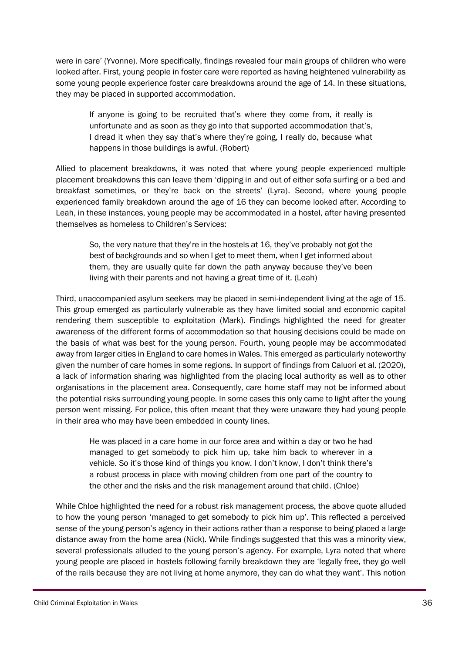were in care' (Yvonne). More specifically, findings revealed four main groups of children who were looked after. First, young people in foster care were reported as having heightened vulnerability as some young people experience foster care breakdowns around the age of 14. In these situations, they may be placed in supported accommodation.

If anyone is going to be recruited that's where they come from, it really is unfortunate and as soon as they go into that supported accommodation that's, I dread it when they say that's where they're going, I really do, because what happens in those buildings is awful. (Robert)

Allied to placement breakdowns, it was noted that where young people experienced multiple placement breakdowns this can leave them 'dipping in and out of either sofa surfing or a bed and breakfast sometimes, or they're back on the streets' (Lyra). Second, where young people experienced family breakdown around the age of 16 they can become looked after. According to Leah, in these instances, young people may be accommodated in a hostel, after having presented themselves as homeless to Children's Services:

So, the very nature that they're in the hostels at 16, they've probably not got the best of backgrounds and so when I get to meet them, when I get informed about them, they are usually quite far down the path anyway because they've been living with their parents and not having a great time of it. (Leah)

Third, unaccompanied asylum seekers may be placed in semi-independent living at the age of 15. This group emerged as particularly vulnerable as they have limited social and economic capital rendering them susceptible to exploitation (Mark). Findings highlighted the need for greater awareness of the different forms of accommodation so that housing decisions could be made on the basis of what was best for the young person. Fourth, young people may be accommodated away from larger cities in England to care homes in Wales. This emerged as particularly noteworthy given the number of care homes in some regions. In support of findings from Caluori et al. (2020), a lack of information sharing was highlighted from the placing local authority as well as to other organisations in the placement area. Consequently, care home staff may not be informed about the potential risks surrounding young people. In some cases this only came to light after the young person went missing. For police, this often meant that they were unaware they had young people in their area who may have been embedded in county lines.

He was placed in a care home in our force area and within a day or two he had managed to get somebody to pick him up, take him back to wherever in a vehicle. So it's those kind of things you know. I don't know, I don't think there's a robust process in place with moving children from one part of the country to the other and the risks and the risk management around that child. (Chloe)

While Chloe highlighted the need for a robust risk management process, the above quote alluded to how the young person 'managed to get somebody to pick him up'. This reflected a perceived sense of the young person's agency in their actions rather than a response to being placed a large distance away from the home area (Nick). While findings suggested that this was a minority view, several professionals alluded to the young person's agency. For example, Lyra noted that where young people are placed in hostels following family breakdown they are 'legally free, they go well of the rails because they are not living at home anymore, they can do what they want'. This notion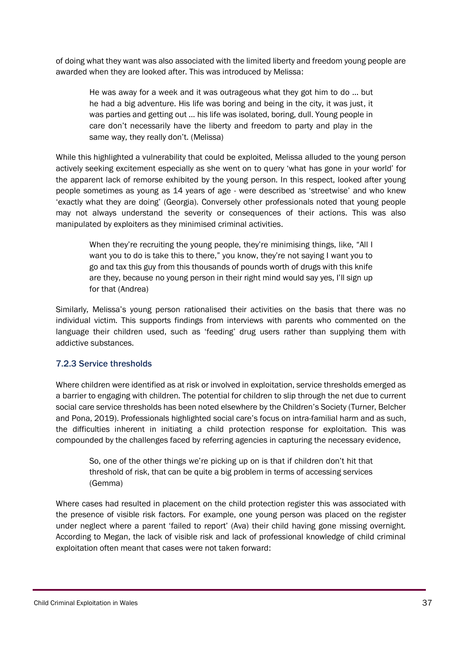of doing what they want was also associated with the limited liberty and freedom young people are awarded when they are looked after. This was introduced by Melissa:

He was away for a week and it was outrageous what they got him to do … but he had a big adventure. His life was boring and being in the city, it was just, it was parties and getting out … his life was isolated, boring, dull. Young people in care don't necessarily have the liberty and freedom to party and play in the same way, they really don't. (Melissa)

While this highlighted a vulnerability that could be exploited, Melissa alluded to the young person actively seeking excitement especially as she went on to query 'what has gone in your world' for the apparent lack of remorse exhibited by the young person. In this respect, looked after young people sometimes as young as 14 years of age - were described as 'streetwise' and who knew 'exactly what they are doing' (Georgia). Conversely other professionals noted that young people may not always understand the severity or consequences of their actions. This was also manipulated by exploiters as they minimised criminal activities.

When they're recruiting the young people, they're minimising things, like, "All I want you to do is take this to there," you know, they're not saying I want you to go and tax this guy from this thousands of pounds worth of drugs with this knife are they, because no young person in their right mind would say yes, I'll sign up for that (Andrea)

Similarly, Melissa's young person rationalised their activities on the basis that there was no individual victim. This supports findings from interviews with parents who commented on the language their children used, such as 'feeding' drug users rather than supplying them with addictive substances.

### <span id="page-36-0"></span>7.2.3 Service thresholds

Where children were identified as at risk or involved in exploitation, service thresholds emerged as a barrier to engaging with children. The potential for children to slip through the net due to current social care service thresholds has been noted elsewhere by the Children's Society (Turner, Belcher and Pona, 2019). Professionals highlighted social care's focus on intra-familial harm and as such, the difficulties inherent in initiating a child protection response for exploitation. This was compounded by the challenges faced by referring agencies in capturing the necessary evidence,

So, one of the other things we're picking up on is that if children don't hit that threshold of risk, that can be quite a big problem in terms of accessing services (Gemma)

Where cases had resulted in placement on the child protection register this was associated with the presence of visible risk factors. For example, one young person was placed on the register under neglect where a parent 'failed to report' (Ava) their child having gone missing overnight. According to Megan, the lack of visible risk and lack of professional knowledge of child criminal exploitation often meant that cases were not taken forward: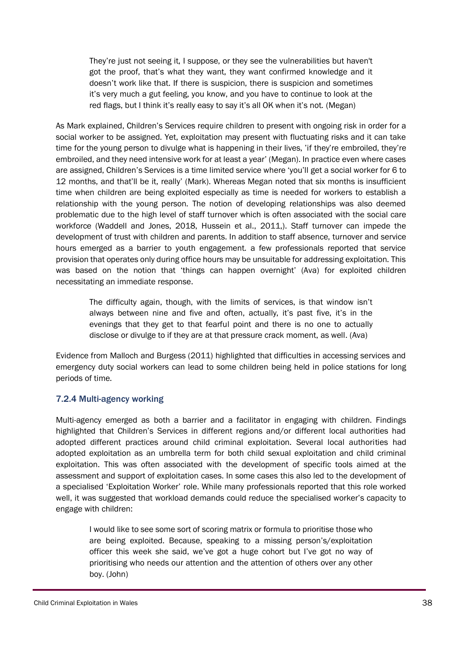They're just not seeing it, I suppose, or they see the vulnerabilities but haven't got the proof, that's what they want, they want confirmed knowledge and it doesn't work like that. If there is suspicion, there is suspicion and sometimes it's very much a gut feeling, you know, and you have to continue to look at the red flags, but I think it's really easy to say it's all OK when it's not. (Megan)

As Mark explained, Children's Services require children to present with ongoing risk in order for a social worker to be assigned. Yet, exploitation may present with fluctuating risks and it can take time for the young person to divulge what is happening in their lives, 'if they're embroiled, they're embroiled, and they need intensive work for at least a year' (Megan). In practice even where cases are assigned, Children's Services is a time limited service where 'you'll get a social worker for 6 to 12 months, and that'll be it, really' (Mark). Whereas Megan noted that six months is insufficient time when children are being exploited especially as time is needed for workers to establish a relationship with the young person. The notion of developing relationships was also deemed problematic due to the high level of staff turnover which is often associated with the social care workforce (Waddell and Jones, 2018, Hussein et al., 2011,). Staff turnover can impede the development of trust with children and parents. In addition to staff absence, turnover and service hours emerged as a barrier to youth engagement. a few professionals reported that service provision that operates only during office hours may be unsuitable for addressing exploitation. This was based on the notion that 'things can happen overnight' (Ava) for exploited children necessitating an immediate response.

The difficulty again, though, with the limits of services, is that window isn't always between nine and five and often, actually, it's past five, it's in the evenings that they get to that fearful point and there is no one to actually disclose or divulge to if they are at that pressure crack moment, as well. (Ava)

Evidence from Malloch and Burgess (2011) highlighted that difficulties in accessing services and emergency duty social workers can lead to some children being held in police stations for long periods of time.

### <span id="page-37-0"></span>7.2.4 Multi-agency working

Multi-agency emerged as both a barrier and a facilitator in engaging with children. Findings highlighted that Children's Services in different regions and/or different local authorities had adopted different practices around child criminal exploitation. Several local authorities had adopted exploitation as an umbrella term for both child sexual exploitation and child criminal exploitation. This was often associated with the development of specific tools aimed at the assessment and support of exploitation cases. In some cases this also led to the development of a specialised 'Exploitation Worker' role. While many professionals reported that this role worked well, it was suggested that workload demands could reduce the specialised worker's capacity to engage with children:

I would like to see some sort of scoring matrix or formula to prioritise those who are being exploited. Because, speaking to a missing person's/exploitation officer this week she said, we've got a huge cohort but I've got no way of prioritising who needs our attention and the attention of others over any other boy. (John)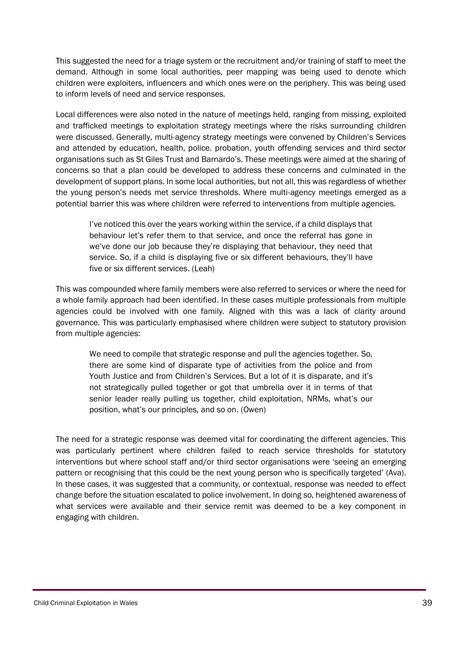This suggested the need for a triage system or the recruitment and/or training of staff to meet the demand. Although in some local authorities, peer mapping was being used to denote which children were exploiters, influencers and which ones were on the periphery. This was being used to inform levels of need and service responses.

Local differences were also noted in the nature of meetings held, ranging from missing, exploited and trafficked meetings to exploitation strategy meetings where the risks surrounding children were discussed. Generally, multi-agency strategy meetings were convened by Children's Services and attended by education, health, police. probation, youth offending services and third sector organisations such as St Giles Trust and Barnardo's. These meetings were aimed at the sharing of concerns so that a plan could be developed to address these concerns and culminated in the development of support plans. In some local authorities, but not all, this was regardless of whether the young person's needs met service thresholds. Where multi-agency meetings emerged as a potential barrier this was where children were referred to interventions from multiple agencies.

I've noticed this over the years working within the service, if a child displays that behaviour let's refer them to that service, and once the referral has gone in we've done our job because they're displaying that behaviour, they need that service. So, if a child is displaying five or six different behaviours, they'll have five or six different services. (Leah)

This was compounded where family members were also referred to services or where the need for a whole family approach had been identified. In these cases multiple professionals from multiple agencies could be involved with one family. Aligned with this was a lack of clarity around governance. This was particularly emphasised where children were subject to statutory provision from multiple agencies:

We need to compile that strategic response and pull the agencies together. So, there are some kind of disparate type of activities from the police and from Youth Justice and from Children's Services. But a lot of it is disparate, and it's not strategically pulled together or got that umbrella over it in terms of that senior leader really pulling us together, child exploitation, NRMs, what's our position, what's our principles, and so on. (Owen)

The need for a strategic response was deemed vital for coordinating the different agencies. This was particularly pertinent where children failed to reach service thresholds for statutory interventions but where school staff and/or third sector organisations were 'seeing an emerging pattern or recognising that this could be the next young person who is specifically targeted' (Ava). In these cases, it was suggested that a community, or contextual, response was needed to effect change before the situation escalated to police involvement. In doing so, heightened awareness of what services were available and their service remit was deemed to be a key component in engaging with children.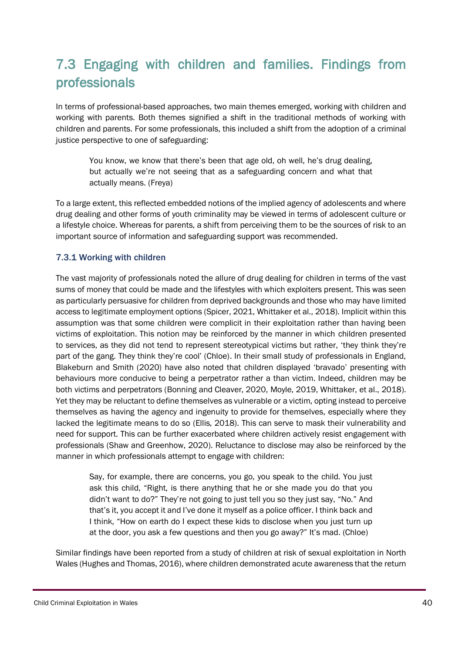## <span id="page-39-0"></span>7.3 Engaging with children and families. Findings from professionals

In terms of professional-based approaches, two main themes emerged, working with children and working with parents. Both themes signified a shift in the traditional methods of working with children and parents. For some professionals, this included a shift from the adoption of a criminal justice perspective to one of safeguarding:

You know, we know that there's been that age old, oh well, he's drug dealing, but actually we're not seeing that as a safeguarding concern and what that actually means. (Freya)

To a large extent, this reflected embedded notions of the implied agency of adolescents and where drug dealing and other forms of youth criminality may be viewed in terms of adolescent culture or a lifestyle choice. Whereas for parents, a shift from perceiving them to be the sources of risk to an important source of information and safeguarding support was recommended.

### <span id="page-39-1"></span>7.3.1 Working with children

The vast majority of professionals noted the allure of drug dealing for children in terms of the vast sums of money that could be made and the lifestyles with which exploiters present. This was seen as particularly persuasive for children from deprived backgrounds and those who may have limited access to legitimate employment options (Spicer, 2021, Whittaker et al., 2018). Implicit within this assumption was that some children were complicit in their exploitation rather than having been victims of exploitation. This notion may be reinforced by the manner in which children presented to services, as they did not tend to represent stereotypical victims but rather, 'they think they're part of the gang. They think they're cool' (Chloe). In their small study of professionals in England, Blakeburn and Smith (2020) have also noted that children displayed 'bravado' presenting with behaviours more conducive to being a perpetrator rather a than victim. Indeed, children may be both victims and perpetrators (Bonning and Cleaver, 2020, Moyle, 2019, Whittaker, et al., 2018). Yet they may be reluctant to define themselves as vulnerable or a victim, opting instead to perceive themselves as having the agency and ingenuity to provide for themselves, especially where they lacked the legitimate means to do so (Ellis, 2018). This can serve to mask their vulnerability and need for support. This can be further exacerbated where children actively resist engagement with professionals (Shaw and Greenhow, 2020). Reluctance to disclose may also be reinforced by the manner in which professionals attempt to engage with children:

Say, for example, there are concerns, you go, you speak to the child. You just ask this child, "Right, is there anything that he or she made you do that you didn't want to do?" They're not going to just tell you so they just say, "No." And that's it, you accept it and I've done it myself as a police officer. I think back and I think, "How on earth do I expect these kids to disclose when you just turn up at the door, you ask a few questions and then you go away?" It's mad. (Chloe)

Similar findings have been reported from a study of children at risk of sexual exploitation in North Wales (Hughes and Thomas, 2016), where children demonstrated acute awareness that the return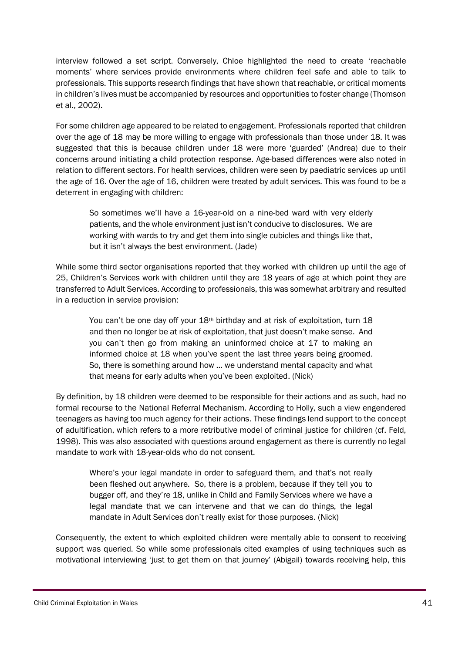interview followed a set script. Conversely, Chloe highlighted the need to create 'reachable moments' where services provide environments where children feel safe and able to talk to professionals. This supports research findings that have shown that reachable, or critical moments in children's lives must be accompanied by resources and opportunities to foster change (Thomson et al., 2002).

For some children age appeared to be related to engagement. Professionals reported that children over the age of 18 may be more willing to engage with professionals than those under 18. It was suggested that this is because children under 18 were more 'guarded' (Andrea) due to their concerns around initiating a child protection response. Age-based differences were also noted in relation to different sectors. For health services, children were seen by paediatric services up until the age of 16. Over the age of 16, children were treated by adult services. This was found to be a deterrent in engaging with children:

So sometimes we'll have a 16-year-old on a nine-bed ward with very elderly patients, and the whole environment just isn't conducive to disclosures. We are working with wards to try and get them into single cubicles and things like that, but it isn't always the best environment. (Jade)

While some third sector organisations reported that they worked with children up until the age of 25, Children's Services work with children until they are 18 years of age at which point they are transferred to Adult Services. According to professionals, this was somewhat arbitrary and resulted in a reduction in service provision:

You can't be one day off your  $18<sup>th</sup>$  birthday and at risk of exploitation, turn  $18$ and then no longer be at risk of exploitation, that just doesn't make sense. And you can't then go from making an uninformed choice at 17 to making an informed choice at 18 when you've spent the last three years being groomed. So, there is something around how … we understand mental capacity and what that means for early adults when you've been exploited. (Nick)

By definition, by 18 children were deemed to be responsible for their actions and as such, had no formal recourse to the National Referral Mechanism. According to Holly, such a view engendered teenagers as having too much agency for their actions. These findings lend support to the concept of adultification, which refers to a more retributive model of criminal justice for children (cf. Feld, 1998). This was also associated with questions around engagement as there is currently no legal mandate to work with 18-year-olds who do not consent.

Where's your legal mandate in order to safeguard them, and that's not really been fleshed out anywhere. So, there is a problem, because if they tell you to bugger off, and they're 18, unlike in Child and Family Services where we have a legal mandate that we can intervene and that we can do things, the legal mandate in Adult Services don't really exist for those purposes. (Nick)

Consequently, the extent to which exploited children were mentally able to consent to receiving support was queried. So while some professionals cited examples of using techniques such as motivational interviewing 'just to get them on that journey' (Abigail) towards receiving help, this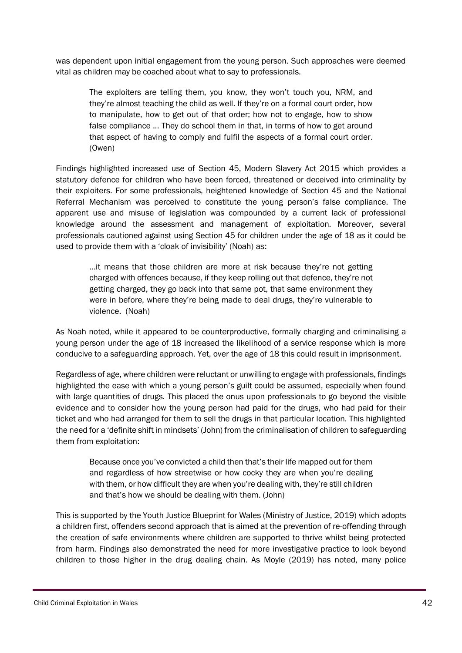was dependent upon initial engagement from the young person. Such approaches were deemed vital as children may be coached about what to say to professionals.

The exploiters are telling them, you know, they won't touch you, NRM, and they're almost teaching the child as well. If they're on a formal court order, how to manipulate, how to get out of that order; how not to engage, how to show false compliance ... They do school them in that, in terms of how to get around that aspect of having to comply and fulfil the aspects of a formal court order. (Owen)

Findings highlighted increased use of Section 45, Modern Slavery Act 2015 which provides a statutory defence for children who have been forced, threatened or deceived into criminality by their exploiters. For some professionals, heightened knowledge of Section 45 and the National Referral Mechanism was perceived to constitute the young person's false compliance. The apparent use and misuse of legislation was compounded by a current lack of professional knowledge around the assessment and management of exploitation. Moreover, several professionals cautioned against using Section 45 for children under the age of 18 as it could be used to provide them with a 'cloak of invisibility' (Noah) as:

…it means that those children are more at risk because they're not getting charged with offences because, if they keep rolling out that defence, they're not getting charged, they go back into that same pot, that same environment they were in before, where they're being made to deal drugs, they're vulnerable to violence. (Noah)

As Noah noted, while it appeared to be counterproductive, formally charging and criminalising a young person under the age of 18 increased the likelihood of a service response which is more conducive to a safeguarding approach. Yet, over the age of 18 this could result in imprisonment.

Regardless of age, where children were reluctant or unwilling to engage with professionals, findings highlighted the ease with which a young person's guilt could be assumed, especially when found with large quantities of drugs. This placed the onus upon professionals to go beyond the visible evidence and to consider how the young person had paid for the drugs, who had paid for their ticket and who had arranged for them to sell the drugs in that particular location. This highlighted the need for a 'definite shift in mindsets' (John) from the criminalisation of children to safeguarding them from exploitation:

Because once you've convicted a child then that's their life mapped out for them and regardless of how streetwise or how cocky they are when you're dealing with them, or how difficult they are when you're dealing with, they're still children and that's how we should be dealing with them. (John)

This is supported by the Youth Justice Blueprint for Wales (Ministry of Justice, 2019) which adopts a children first, offenders second approach that is aimed at the prevention of re-offending through the creation of safe environments where children are supported to thrive whilst being protected from harm. Findings also demonstrated the need for more investigative practice to look beyond children to those higher in the drug dealing chain. As Moyle (2019) has noted, many police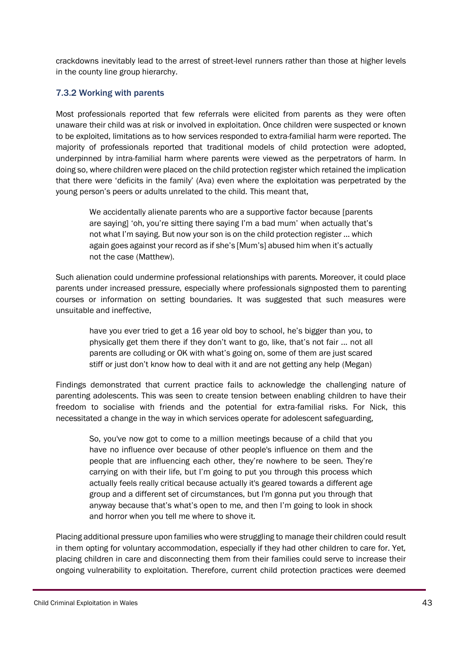crackdowns inevitably lead to the arrest of street-level runners rather than those at higher levels in the county line group hierarchy.

### <span id="page-42-0"></span>7.3.2 Working with parents

Most professionals reported that few referrals were elicited from parents as they were often unaware their child was at risk or involved in exploitation. Once children were suspected or known to be exploited, limitations as to how services responded to extra-familial harm were reported. The majority of professionals reported that traditional models of child protection were adopted, underpinned by intra-familial harm where parents were viewed as the perpetrators of harm. In doing so, where children were placed on the child protection register which retained the implication that there were 'deficits in the family' (Ava) even where the exploitation was perpetrated by the young person's peers or adults unrelated to the child. This meant that,

We accidentally alienate parents who are a supportive factor because [parents are saying] 'oh, you're sitting there saying I'm a bad mum' when actually that's not what I'm saying. But now your son is on the child protection register … which again goes against your record as if she's [Mum's] abused him when it's actually not the case (Matthew).

Such alienation could undermine professional relationships with parents. Moreover, it could place parents under increased pressure, especially where professionals signposted them to parenting courses or information on setting boundaries. It was suggested that such measures were unsuitable and ineffective,

have you ever tried to get a 16 year old boy to school, he's bigger than you, to physically get them there if they don't want to go, like, that's not fair ... not all parents are colluding or OK with what's going on, some of them are just scared stiff or just don't know how to deal with it and are not getting any help (Megan)

Findings demonstrated that current practice fails to acknowledge the challenging nature of parenting adolescents. This was seen to create tension between enabling children to have their freedom to socialise with friends and the potential for extra-familial risks. For Nick, this necessitated a change in the way in which services operate for adolescent safeguarding,

So, you've now got to come to a million meetings because of a child that you have no influence over because of other people's influence on them and the people that are influencing each other, they're nowhere to be seen. They're carrying on with their life, but I'm going to put you through this process which actually feels really critical because actually it's geared towards a different age group and a different set of circumstances, but I'm gonna put you through that anyway because that's what's open to me, and then I'm going to look in shock and horror when you tell me where to shove it.

Placing additional pressure upon families who were struggling to manage their children could result in them opting for voluntary accommodation, especially if they had other children to care for. Yet, placing children in care and disconnecting them from their families could serve to increase their ongoing vulnerability to exploitation. Therefore, current child protection practices were deemed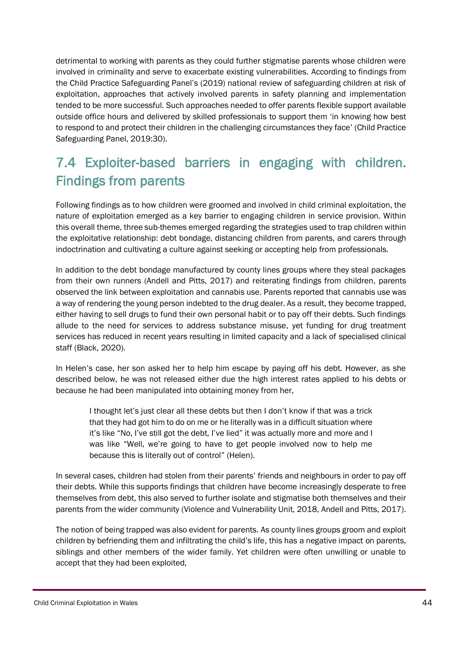detrimental to working with parents as they could further stigmatise parents whose children were involved in criminality and serve to exacerbate existing vulnerabilities. According to findings from the Child Practice Safeguarding Panel's (2019) national review of safeguarding children at risk of exploitation, approaches that actively involved parents in safety planning and implementation tended to be more successful. Such approaches needed to offer parents flexible support available outside office hours and delivered by skilled professionals to support them 'in knowing how best to respond to and protect their children in the challenging circumstances they face' (Child Practice Safeguarding Panel, 2019:30).

## <span id="page-43-0"></span>7.4 Exploiter-based barriers in engaging with children. Findings from parents

Following findings as to how children were groomed and involved in child criminal exploitation, the nature of exploitation emerged as a key barrier to engaging children in service provision. Within this overall theme, three sub-themes emerged regarding the strategies used to trap children within the exploitative relationship: debt bondage, distancing children from parents, and carers through indoctrination and cultivating a culture against seeking or accepting help from professionals.

In addition to the debt bondage manufactured by county lines groups where they steal packages from their own runners (Andell and Pitts, 2017) and reiterating findings from children, parents observed the link between exploitation and cannabis use. Parents reported that cannabis use was a way of rendering the young person indebted to the drug dealer. As a result, they become trapped, either having to sell drugs to fund their own personal habit or to pay off their debts. Such findings allude to the need for services to address substance misuse, yet funding for drug treatment services has reduced in recent years resulting in limited capacity and a lack of specialised clinical staff (Black, 2020).

In Helen's case, her son asked her to help him escape by paying off his debt. However, as she described below, he was not released either due the high interest rates applied to his debts or because he had been manipulated into obtaining money from her,

I thought let's just clear all these debts but then I don't know if that was a trick that they had got him to do on me or he literally was in a difficult situation where it's like "No, I've still got the debt, I've lied" it was actually more and more and I was like "Well, we're going to have to get people involved now to help me because this is literally out of control" (Helen).

In several cases, children had stolen from their parents' friends and neighbours in order to pay off their debts. While this supports findings that children have become increasingly desperate to free themselves from debt, this also served to further isolate and stigmatise both themselves and their parents from the wider community (Violence and Vulnerability Unit, 2018, Andell and Pitts, 2017).

The notion of being trapped was also evident for parents. As county lines groups groom and exploit children by befriending them and infiltrating the child's life, this has a negative impact on parents, siblings and other members of the wider family. Yet children were often unwilling or unable to accept that they had been exploited,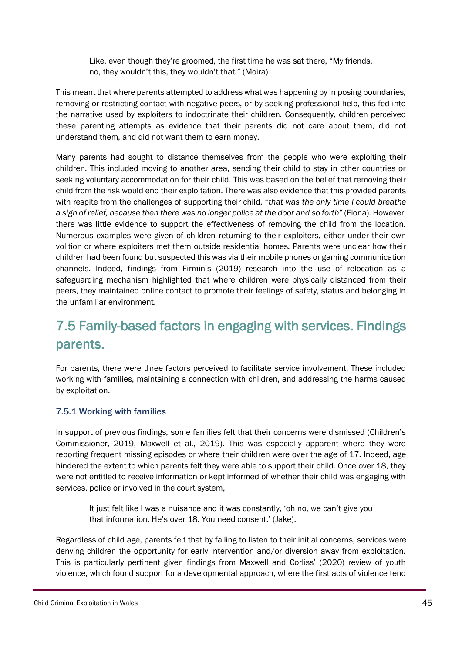Like, even though they're groomed, the first time he was sat there, "My friends, no, they wouldn't this, they wouldn't that." (Moira)

This meant that where parents attempted to address what was happening by imposing boundaries, removing or restricting contact with negative peers, or by seeking professional help, this fed into the narrative used by exploiters to indoctrinate their children. Consequently, children perceived these parenting attempts as evidence that their parents did not care about them, did not understand them, and did not want them to earn money.

Many parents had sought to distance themselves from the people who were exploiting their children. This included moving to another area, sending their child to stay in other countries or seeking voluntary accommodation for their child. This was based on the belief that removing their child from the risk would end their exploitation. There was also evidence that this provided parents with respite from the challenges of supporting their child, "*that was the only time I could breathe a sigh of relief, because then there was no longer police at the door and so forth*" (Fiona). However, there was little evidence to support the effectiveness of removing the child from the location. Numerous examples were given of children returning to their exploiters, either under their own volition or where exploiters met them outside residential homes. Parents were unclear how their children had been found but suspected this was via their mobile phones or gaming communication channels. Indeed, findings from Firmin's (2019) research into the use of relocation as a safeguarding mechanism highlighted that where children were physically distanced from their peers, they maintained online contact to promote their feelings of safety, status and belonging in the unfamiliar environment.

## <span id="page-44-0"></span>7.5 Family-based factors in engaging with services. Findings parents.

For parents, there were three factors perceived to facilitate service involvement. These included working with families, maintaining a connection with children, and addressing the harms caused by exploitation.

### <span id="page-44-1"></span>7.5.1 Working with families

In support of previous findings, some families felt that their concerns were dismissed (Children's Commissioner, 2019, Maxwell et al., 2019). This was especially apparent where they were reporting frequent missing episodes or where their children were over the age of 17. Indeed, age hindered the extent to which parents felt they were able to support their child. Once over 18, they were not entitled to receive information or kept informed of whether their child was engaging with services, police or involved in the court system,

It just felt like I was a nuisance and it was constantly, 'oh no, we can't give you that information. He's over 18. You need consent.' (Jake).

Regardless of child age, parents felt that by failing to listen to their initial concerns, services were denying children the opportunity for early intervention and/or diversion away from exploitation. This is particularly pertinent given findings from Maxwell and Corliss' (2020) review of youth violence, which found support for a developmental approach, where the first acts of violence tend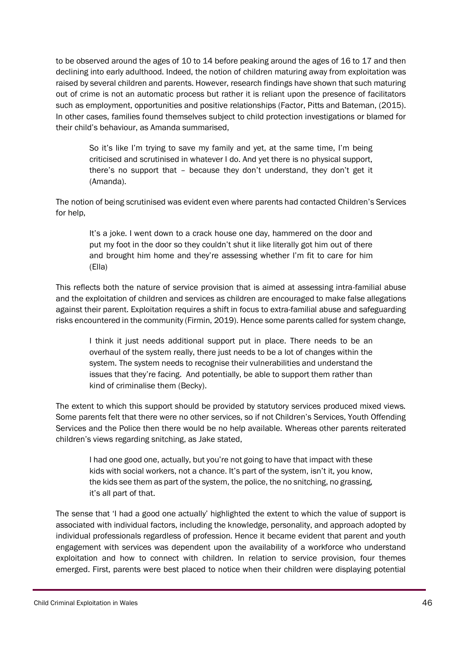to be observed around the ages of 10 to 14 before peaking around the ages of 16 to 17 and then declining into early adulthood. Indeed, the notion of children maturing away from exploitation was raised by several children and parents. However, research findings have shown that such maturing out of crime is not an automatic process but rather it is reliant upon the presence of facilitators such as employment, opportunities and positive relationships (Factor, Pitts and Bateman, (2015). In other cases, families found themselves subject to child protection investigations or blamed for their child's behaviour, as Amanda summarised,

So it's like I'm trying to save my family and yet, at the same time, I'm being criticised and scrutinised in whatever I do. And yet there is no physical support, there's no support that – because they don't understand, they don't get it (Amanda).

The notion of being scrutinised was evident even where parents had contacted Children's Services for help,

It's a joke. I went down to a crack house one day, hammered on the door and put my foot in the door so they couldn't shut it like literally got him out of there and brought him home and they're assessing whether I'm fit to care for him (Ella)

This reflects both the nature of service provision that is aimed at assessing intra-familial abuse and the exploitation of children and services as children are encouraged to make false allegations against their parent. Exploitation requires a shift in focus to extra-familial abuse and safeguarding risks encountered in the community (Firmin, 2019). Hence some parents called for system change,

I think it just needs additional support put in place. There needs to be an overhaul of the system really, there just needs to be a lot of changes within the system. The system needs to recognise their vulnerabilities and understand the issues that they're facing. And potentially, be able to support them rather than kind of criminalise them (Becky).

The extent to which this support should be provided by statutory services produced mixed views. Some parents felt that there were no other services, so if not Children's Services, Youth Offending Services and the Police then there would be no help available. Whereas other parents reiterated children's views regarding snitching, as Jake stated,

I had one good one, actually, but you're not going to have that impact with these kids with social workers, not a chance. It's part of the system, isn't it, you know, the kids see them as part of the system, the police, the no snitching, no grassing, it's all part of that.

The sense that 'I had a good one actually' highlighted the extent to which the value of support is associated with individual factors, including the knowledge, personality, and approach adopted by individual professionals regardless of profession. Hence it became evident that parent and youth engagement with services was dependent upon the availability of a workforce who understand exploitation and how to connect with children. In relation to service provision, four themes emerged. First, parents were best placed to notice when their children were displaying potential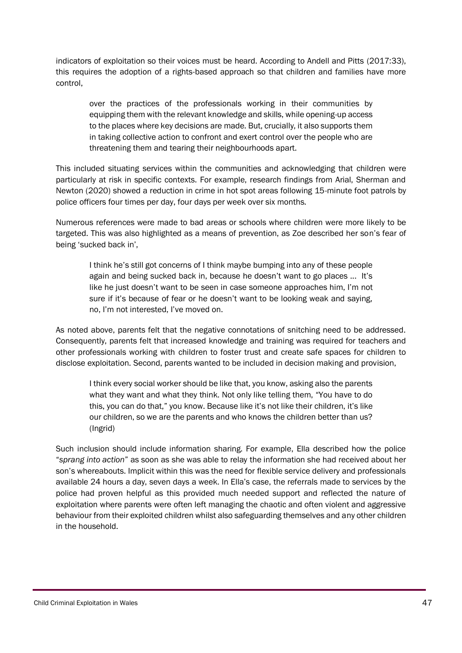indicators of exploitation so their voices must be heard. According to Andell and Pitts (2017:33), this requires the adoption of a rights-based approach so that children and families have more control,

over the practices of the professionals working in their communities by equipping them with the relevant knowledge and skills, while opening-up access to the places where key decisions are made. But, crucially, it also supports them in taking collective action to confront and exert control over the people who are threatening them and tearing their neighbourhoods apart.

This included situating services within the communities and acknowledging that children were particularly at risk in specific contexts. For example, research findings from Arial, Sherman and Newton (2020) showed a reduction in crime in hot spot areas following 15-minute foot patrols by police officers four times per day, four days per week over six months.

Numerous references were made to bad areas or schools where children were more likely to be targeted. This was also highlighted as a means of prevention, as Zoe described her son's fear of being 'sucked back in',

I think he's still got concerns of I think maybe bumping into any of these people again and being sucked back in, because he doesn't want to go places ... It's like he just doesn't want to be seen in case someone approaches him, I'm not sure if it's because of fear or he doesn't want to be looking weak and saying, no, I'm not interested, I've moved on.

As noted above, parents felt that the negative connotations of snitching need to be addressed. Consequently, parents felt that increased knowledge and training was required for teachers and other professionals working with children to foster trust and create safe spaces for children to disclose exploitation. Second, parents wanted to be included in decision making and provision,

I think every social worker should be like that, you know, asking also the parents what they want and what they think. Not only like telling them, "You have to do this, you can do that," you know. Because like it's not like their children, it's like our children, so we are the parents and who knows the children better than us? (Ingrid)

Such inclusion should include information sharing. For example, Ella described how the police "*sprang into action*" as soon as she was able to relay the information she had received about her son's whereabouts. Implicit within this was the need for flexible service delivery and professionals available 24 hours a day, seven days a week. In Ella's case, the referrals made to services by the police had proven helpful as this provided much needed support and reflected the nature of exploitation where parents were often left managing the chaotic and often violent and aggressive behaviour from their exploited children whilst also safeguarding themselves and any other children in the household.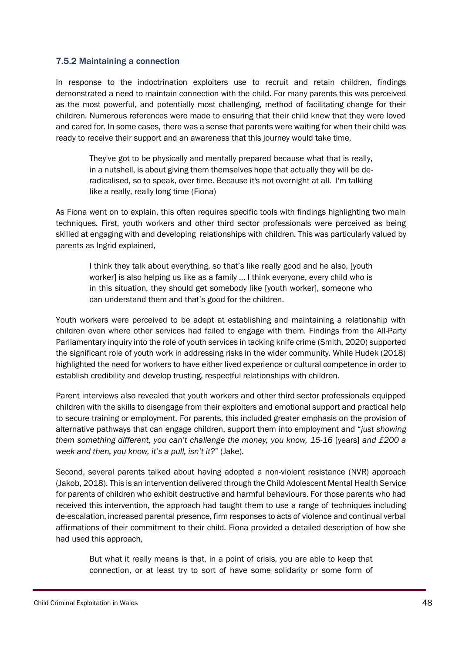#### <span id="page-47-0"></span>7.5.2 Maintaining a connection

In response to the indoctrination exploiters use to recruit and retain children, findings demonstrated a need to maintain connection with the child. For many parents this was perceived as the most powerful, and potentially most challenging, method of facilitating change for their children. Numerous references were made to ensuring that their child knew that they were loved and cared for. In some cases, there was a sense that parents were waiting for when their child was ready to receive their support and an awareness that this journey would take time,

They've got to be physically and mentally prepared because what that is really, in a nutshell, is about giving them themselves hope that actually they will be deradicalised, so to speak, over time. Because it's not overnight at all. I'm talking like a really, really long time (Fiona)

As Fiona went on to explain, this often requires specific tools with findings highlighting two main techniques. First, youth workers and other third sector professionals were perceived as being skilled at engaging with and developing relationships with children. This was particularly valued by parents as Ingrid explained,

I think they talk about everything, so that's like really good and he also, [youth worker] is also helping us like as a family ... I think everyone, every child who is in this situation, they should get somebody like [youth worker], someone who can understand them and that's good for the children.

Youth workers were perceived to be adept at establishing and maintaining a relationship with children even where other services had failed to engage with them. Findings from the All-Party Parliamentary inquiry into the role of youth services in tacking knife crime (Smith, 2020) supported the significant role of youth work in addressing risks in the wider community. While Hudek (2018) highlighted the need for workers to have either lived experience or cultural competence in order to establish credibility and develop trusting, respectful relationships with children.

Parent interviews also revealed that youth workers and other third sector professionals equipped children with the skills to disengage from their exploiters and emotional support and practical help to secure training or employment. For parents, this included greater emphasis on the provision of alternative pathways that can engage children, support them into employment and "*just showing them something different, you can't challenge the money, you know, 15-16* [years] *and £200 a week and then, you know, it's a pull, isn't it?*" (Jake).

Second, several parents talked about having adopted a non-violent resistance (NVR) approach (Jakob, 2018). This is an intervention delivered through the Child Adolescent Mental Health Service for parents of children who exhibit destructive and harmful behaviours. For those parents who had received this intervention, the approach had taught them to use a range of techniques including de-escalation, increased parental presence, firm responses to acts of violence and continual verbal affirmations of their commitment to their child. Fiona provided a detailed description of how she had used this approach,

But what it really means is that, in a point of crisis, you are able to keep that connection, or at least try to sort of have some solidarity or some form of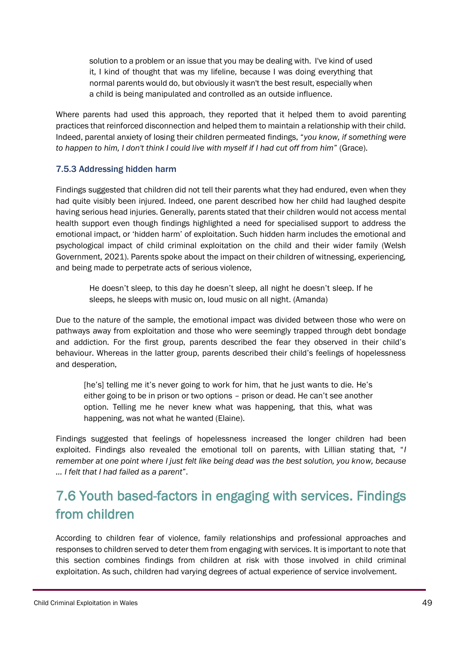solution to a problem or an issue that you may be dealing with. I've kind of used it, I kind of thought that was my lifeline, because I was doing everything that normal parents would do, but obviously it wasn't the best result, especially when a child is being manipulated and controlled as an outside influence.

Where parents had used this approach, they reported that it helped them to avoid parenting practices that reinforced disconnection and helped them to maintain a relationship with their child. Indeed, parental anxiety of losing their children permeated findings, "*you know, if something were to happen to him, I don't think I could live with myself if I had cut off from him*" (Grace).

#### <span id="page-48-0"></span>7.5.3 Addressing hidden harm

Findings suggested that children did not tell their parents what they had endured, even when they had quite visibly been injured. Indeed, one parent described how her child had laughed despite having serious head injuries. Generally, parents stated that their children would not access mental health support even though findings highlighted a need for specialised support to address the emotional impact, or 'hidden harm' of exploitation. Such hidden harm includes the emotional and psychological impact of child criminal exploitation on the child and their wider family (Welsh Government, 2021). Parents spoke about the impact on their children of witnessing, experiencing, and being made to perpetrate acts of serious violence,

He doesn't sleep, to this day he doesn't sleep, all night he doesn't sleep. If he sleeps, he sleeps with music on, loud music on all night. (Amanda)

Due to the nature of the sample, the emotional impact was divided between those who were on pathways away from exploitation and those who were seemingly trapped through debt bondage and addiction. For the first group, parents described the fear they observed in their child's behaviour. Whereas in the latter group, parents described their child's feelings of hopelessness and desperation,

[he's] telling me it's never going to work for him, that he just wants to die. He's either going to be in prison or two options – prison or dead. He can't see another option. Telling me he never knew what was happening, that this, what was happening, was not what he wanted (Elaine).

Findings suggested that feelings of hopelessness increased the longer children had been exploited. Findings also revealed the emotional toll on parents, with Lillian stating that, "*I remember at one point where I just felt like being dead was the best solution, you know, because … I felt that I had failed as a parent*".

## <span id="page-48-1"></span>7.6 Youth based-factors in engaging with services. Findings from children

According to children fear of violence, family relationships and professional approaches and responses to children served to deter them from engaging with services. It is important to note that this section combines findings from children at risk with those involved in child criminal exploitation. As such, children had varying degrees of actual experience of service involvement.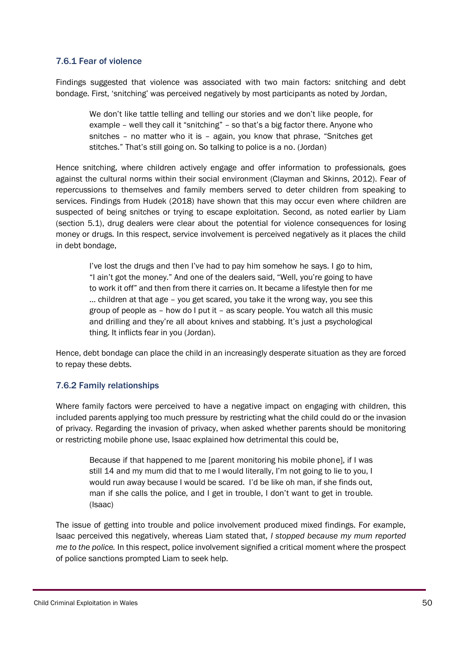#### <span id="page-49-0"></span>7.6.1 Fear of violence

Findings suggested that violence was associated with two main factors: snitching and debt bondage. First, 'snitching' was perceived negatively by most participants as noted by Jordan,

We don't like tattle telling and telling our stories and we don't like people, for example – well they call it "snitching" – so that's a big factor there. Anyone who snitches – no matter who it is – again, you know that phrase, "Snitches get stitches." That's still going on. So talking to police is a no. (Jordan)

Hence snitching, where children actively engage and offer information to professionals, goes against the cultural norms within their social environment (Clayman and Skinns, 2012). Fear of repercussions to themselves and family members served to deter children from speaking to services. Findings from Hudek (2018) have shown that this may occur even where children are suspected of being snitches or trying to escape exploitation. Second, as noted earlier by Liam (section 5.1), drug dealers were clear about the potential for violence consequences for losing money or drugs. In this respect, service involvement is perceived negatively as it places the child in debt bondage,

I've lost the drugs and then I've had to pay him somehow he says. I go to him, "I ain't got the money." And one of the dealers said, "Well, you're going to have to work it off" and then from there it carries on. It became a lifestyle then for me … children at that age – you get scared, you take it the wrong way, you see this group of people as – how do I put it – as scary people. You watch all this music and drilling and they're all about knives and stabbing. It's just a psychological thing. It inflicts fear in you (Jordan).

Hence, debt bondage can place the child in an increasingly desperate situation as they are forced to repay these debts.

### <span id="page-49-1"></span>7.6.2 Family relationships

Where family factors were perceived to have a negative impact on engaging with children, this included parents applying too much pressure by restricting what the child could do or the invasion of privacy. Regarding the invasion of privacy, when asked whether parents should be monitoring or restricting mobile phone use, Isaac explained how detrimental this could be,

Because if that happened to me [parent monitoring his mobile phone], if I was still 14 and my mum did that to me I would literally, I'm not going to lie to you, I would run away because I would be scared. I'd be like oh man, if she finds out, man if she calls the police, and I get in trouble, I don't want to get in trouble. (Isaac)

The issue of getting into trouble and police involvement produced mixed findings. For example, Isaac perceived this negatively, whereas Liam stated that, *I stopped because my mum reported me to the police.* In this respect, police involvement signified a critical moment where the prospect of police sanctions prompted Liam to seek help.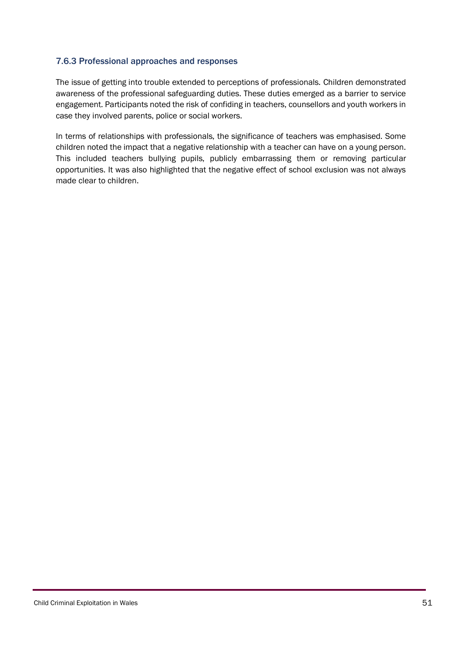#### <span id="page-50-0"></span>7.6.3 Professional approaches and responses

The issue of getting into trouble extended to perceptions of professionals. Children demonstrated awareness of the professional safeguarding duties. These duties emerged as a barrier to service engagement. Participants noted the risk of confiding in teachers, counsellors and youth workers in case they involved parents, police or social workers.

In terms of relationships with professionals, the significance of teachers was emphasised. Some children noted the impact that a negative relationship with a teacher can have on a young person. This included teachers bullying pupils, publicly embarrassing them or removing particular opportunities. It was also highlighted that the negative effect of school exclusion was not always made clear to children.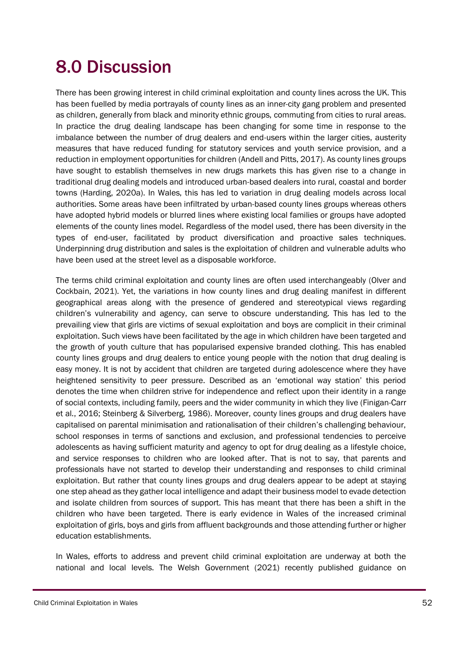## <span id="page-51-0"></span>8.0 Discussion

There has been growing interest in child criminal exploitation and county lines across the UK. This has been fuelled by media portrayals of county lines as an inner-city gang problem and presented as children, generally from black and minority ethnic groups, commuting from cities to rural areas. In practice the drug dealing landscape has been changing for some time in response to the imbalance between the number of drug dealers and end-users within the larger cities, austerity measures that have reduced funding for statutory services and youth service provision, and a reduction in employment opportunities for children (Andell and Pitts, 2017). As county lines groups have sought to establish themselves in new drugs markets this has given rise to a change in traditional drug dealing models and introduced urban-based dealers into rural, coastal and border towns (Harding, 2020a). In Wales, this has led to variation in drug dealing models across local authorities. Some areas have been infiltrated by urban-based county lines groups whereas others have adopted hybrid models or blurred lines where existing local families or groups have adopted elements of the county lines model. Regardless of the model used, there has been diversity in the types of end-user, facilitated by product diversification and proactive sales techniques. Underpinning drug distribution and sales is the exploitation of children and vulnerable adults who have been used at the street level as a disposable workforce.

The terms child criminal exploitation and county lines are often used interchangeably (Olver and Cockbain, 2021). Yet, the variations in how county lines and drug dealing manifest in different geographical areas along with the presence of gendered and stereotypical views regarding children's vulnerability and agency, can serve to obscure understanding. This has led to the prevailing view that girls are victims of sexual exploitation and boys are complicit in their criminal exploitation. Such views have been facilitated by the age in which children have been targeted and the growth of youth culture that has popularised expensive branded clothing. This has enabled county lines groups and drug dealers to entice young people with the notion that drug dealing is easy money. It is not by accident that children are targeted during adolescence where they have heightened sensitivity to peer pressure. Described as an 'emotional way station' this period denotes the time when children strive for independence and reflect upon their identity in a range of social contexts, including family, peers and the wider community in which they live (Finigan-Carr et al., 2016; Steinberg & Silverberg, 1986). Moreover, county lines groups and drug dealers have capitalised on parental minimisation and rationalisation of their children's challenging behaviour, school responses in terms of sanctions and exclusion, and professional tendencies to perceive adolescents as having sufficient maturity and agency to opt for drug dealing as a lifestyle choice, and service responses to children who are looked after. That is not to say, that parents and professionals have not started to develop their understanding and responses to child criminal exploitation. But rather that county lines groups and drug dealers appear to be adept at staying one step ahead as they gather local intelligence and adapt their business model to evade detection and isolate children from sources of support. This has meant that there has been a shift in the children who have been targeted. There is early evidence in Wales of the increased criminal exploitation of girls, boys and girls from affluent backgrounds and those attending further or higher education establishments.

In Wales, efforts to address and prevent child criminal exploitation are underway at both the national and local levels. The Welsh Government (2021) recently published guidance on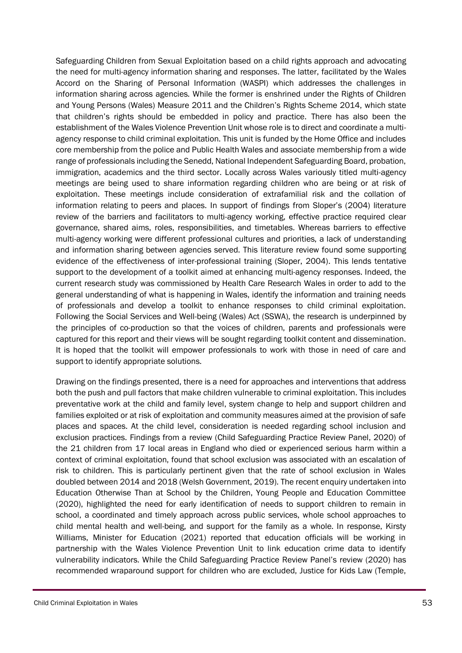Safeguarding Children from Sexual Exploitation based on a child rights approach and advocating the need for multi-agency information sharing and responses. The latter, facilitated by the Wales Accord on the Sharing of Personal Information (WASPI) which addresses the challenges in information sharing across agencies. While the former is enshrined under the Rights of Children and Young Persons (Wales) Measure 2011 and the Children's Rights Scheme 2014, which state that children's rights should be embedded in policy and practice. There has also been the establishment of the Wales Violence Prevention Unit whose role is to direct and coordinate a multiagency response to child criminal exploitation. This unit is funded by the Home Office and includes core membership from the police and Public Health Wales and associate membership from a wide range of professionals including the Senedd, National Independent Safeguarding Board, probation, immigration, academics and the third sector. Locally across Wales variously titled multi-agency meetings are being used to share information regarding children who are being or at risk of exploitation. These meetings include consideration of extrafamilial risk and the collation of information relating to peers and places. In support of findings from Sloper's (2004) literature review of the barriers and facilitators to multi-agency working, effective practice required clear governance, shared aims, roles, responsibilities, and timetables. Whereas barriers to effective multi-agency working were different professional cultures and priorities, a lack of understanding and information sharing between agencies served. This literature review found some supporting evidence of the effectiveness of inter-professional training (Sloper, 2004). This lends tentative support to the development of a toolkit aimed at enhancing multi-agency responses. Indeed, the current research study was commissioned by Health Care Research Wales in order to add to the general understanding of what is happening in Wales, identify the information and training needs of professionals and develop a toolkit to enhance responses to child criminal exploitation. Following the Social Services and Well-being (Wales) Act (SSWA), the research is underpinned by the principles of co-production so that the voices of children, parents and professionals were captured for this report and their views will be sought regarding toolkit content and dissemination. It is hoped that the toolkit will empower professionals to work with those in need of care and support to identify appropriate solutions.

Drawing on the findings presented, there is a need for approaches and interventions that address both the push and pull factors that make children vulnerable to criminal exploitation. This includes preventative work at the child and family level, system change to help and support children and families exploited or at risk of exploitation and community measures aimed at the provision of safe places and spaces. At the child level, consideration is needed regarding school inclusion and exclusion practices. Findings from a review (Child Safeguarding Practice Review Panel, 2020) of the 21 children from 17 local areas in England who died or experienced serious harm within a context of criminal exploitation, found that school exclusion was associated with an escalation of risk to children. This is particularly pertinent given that the rate of school exclusion in Wales doubled between 2014 and 2018 (Welsh Government, 2019). The recent enquiry undertaken into Education Otherwise Than at School by the Children, Young People and Education Committee (2020), highlighted the need for early identification of needs to support children to remain in school, a coordinated and timely approach across public services, whole school approaches to child mental health and well-being, and support for the family as a whole. In response, Kirsty Williams, Minister for Education (2021) reported that education officials will be working in partnership with the Wales Violence Prevention Unit to link education crime data to identify vulnerability indicators. While the Child Safeguarding Practice Review Panel's review (2020) has recommended wraparound support for children who are excluded, Justice for Kids Law (Temple,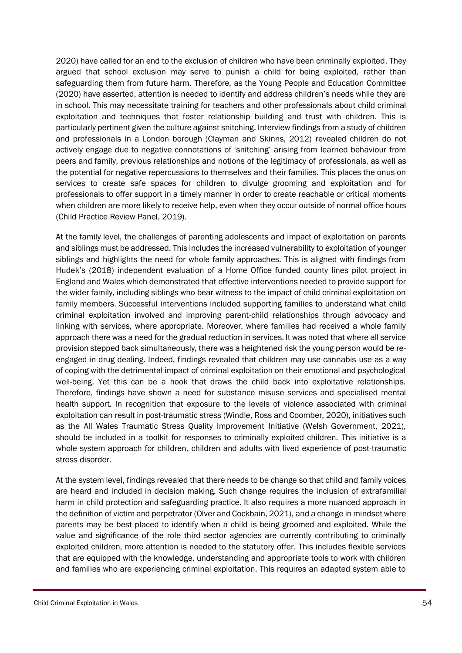2020) have called for an end to the exclusion of children who have been criminally exploited. They argued that school exclusion may serve to punish a child for being exploited, rather than safeguarding them from future harm. Therefore, as the Young People and Education Committee (2020) have asserted, attention is needed to identify and address children's needs while they are in school. This may necessitate training for teachers and other professionals about child criminal exploitation and techniques that foster relationship building and trust with children. This is particularly pertinent given the culture against snitching. Interview findings from a study of children and professionals in a London borough (Clayman and Skinns, 2012) revealed children do not actively engage due to negative connotations of 'snitching' arising from learned behaviour from peers and family, previous relationships and notions of the legitimacy of professionals, as well as the potential for negative repercussions to themselves and their families. This places the onus on services to create safe spaces for children to divulge grooming and exploitation and for professionals to offer support in a timely manner in order to create reachable or critical moments when children are more likely to receive help, even when they occur outside of normal office hours (Child Practice Review Panel, 2019).

At the family level, the challenges of parenting adolescents and impact of exploitation on parents and siblings must be addressed. This includes the increased vulnerability to exploitation of younger siblings and highlights the need for whole family approaches. This is aligned with findings from Hudek's (2018) independent evaluation of a Home Office funded county lines pilot project in England and Wales which demonstrated that effective interventions needed to provide support for the wider family, including siblings who bear witness to the impact of child criminal exploitation on family members. Successful interventions included supporting families to understand what child criminal exploitation involved and improving parent-child relationships through advocacy and linking with services, where appropriate. Moreover, where families had received a whole family approach there was a need for the gradual reduction in services. It was noted that where all service provision stepped back simultaneously, there was a heightened risk the young person would be reengaged in drug dealing. Indeed, findings revealed that children may use cannabis use as a way of coping with the detrimental impact of criminal exploitation on their emotional and psychological well-being. Yet this can be a hook that draws the child back into exploitative relationships. Therefore, findings have shown a need for substance misuse services and specialised mental health support. In recognition that exposure to the levels of violence associated with criminal exploitation can result in post-traumatic stress (Windle, Ross and Coomber, 2020), initiatives such as the All Wales Traumatic Stress Quality Improvement Initiative (Welsh Government, 2021), should be included in a toolkit for responses to criminally exploited children. This initiative is a whole system approach for children, children and adults with lived experience of post-traumatic stress disorder.

At the system level, findings revealed that there needs to be change so that child and family voices are heard and included in decision making. Such change requires the inclusion of extrafamilial harm in child protection and safeguarding practice. It also requires a more nuanced approach in the definition of victim and perpetrator (Olver and Cockbain, 2021), and a change in mindset where parents may be best placed to identify when a child is being groomed and exploited. While the value and significance of the role third sector agencies are currently contributing to criminally exploited children, more attention is needed to the statutory offer. This includes flexible services that are equipped with the knowledge, understanding and appropriate tools to work with children and families who are experiencing criminal exploitation. This requires an adapted system able to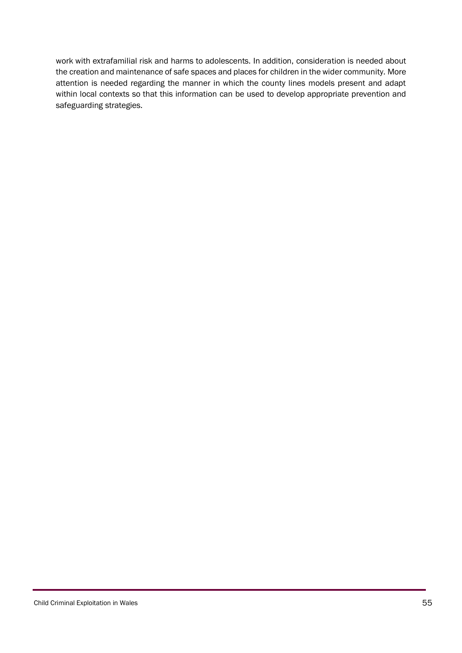work with extrafamilial risk and harms to adolescents. In addition, consideration is needed about the creation and maintenance of safe spaces and places for children in the wider community. More attention is needed regarding the manner in which the county lines models present and adapt within local contexts so that this information can be used to develop appropriate prevention and safeguarding strategies.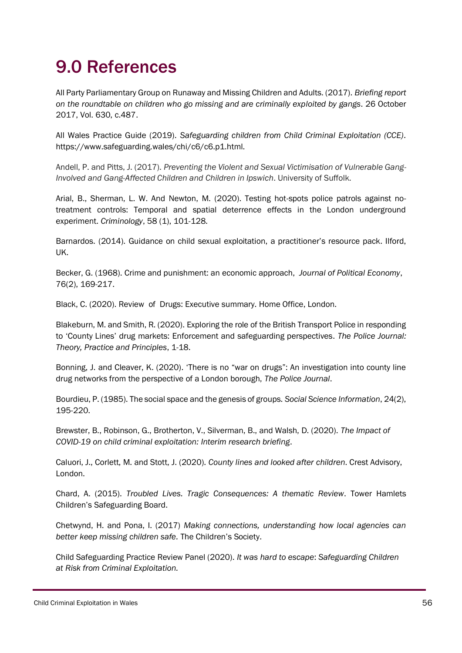## <span id="page-55-0"></span>9.0 References

All Party Parliamentary Group on Runaway and Missing Children and Adults. (2017). *Briefing report on the roundtable on children who go missing and are criminally exploited by gangs*. 26 October 2017, Vol. 630, c.487.

All Wales Practice Guide (2019). *Safeguarding children from Child Criminal Exploitation (CCE).* https://www.safeguarding.wales/chi/c6/c6.p1.html.

Andell, P. and Pitts, J. (2017). *Preventing the Violent and Sexual Victimisation of Vulnerable Gang-Involved and Gang-Affected Children and Children in Ipswich*. University of Suffolk.

Arial, B., Sherman, L. W. And Newton, M. (2020). Testing hot-spots police patrols against notreatment controls: Temporal and spatial deterrence effects in the London underground experiment. *Criminology*, 58 (1), 101-128.

Barnardos. (2014). Guidance on child sexual exploitation, a practitioner's resource pack. Ilford, UK.

Becker, G. (1968). Crime and punishment: an economic approach, *Journal of Political Economy*, 76(2), 169-217.

Black, C. (2020). Review of Drugs: Executive summary. Home Office, London.

Blakeburn, M. and Smith, R. (2020). Exploring the role of the British Transport Police in responding to 'County Lines' drug markets: Enforcement and safeguarding perspectives. *The Police Journal: Theory, Practice and Principles*, 1-18.

Bonning, J. and Cleaver, K. (2020). 'There is no "war on drugs": An investigation into county line drug networks from the perspective of a London borough, *The Police Journal*.

Bourdieu, P. (1985). The social space and the genesis of groups. *Social Science Information*, 24(2), 195-220.

Brewster, B., Robinson, G., Brotherton, V., Silverman, B., and Walsh, D. (2020). *The Impact of COVID-19 on child criminal exploitation: Interim research briefing*.

Caluori, J., Corlett, M. and Stott, J. (2020). *County lines and looked after children*. Crest Advisory, London.

Chard, A. (2015). *Troubled Lives. Tragic Consequences: A thematic Review*. Tower Hamlets Children's Safeguarding Board.

Chetwynd, H. and Pona, I. (2017) *Making connections, understanding how local agencies can better keep missing children safe.* The Children's Society.

Child Safeguarding Practice Review Panel (2020). *It was hard to escape*: *Safeguarding Children at Risk from Criminal Exploitation.*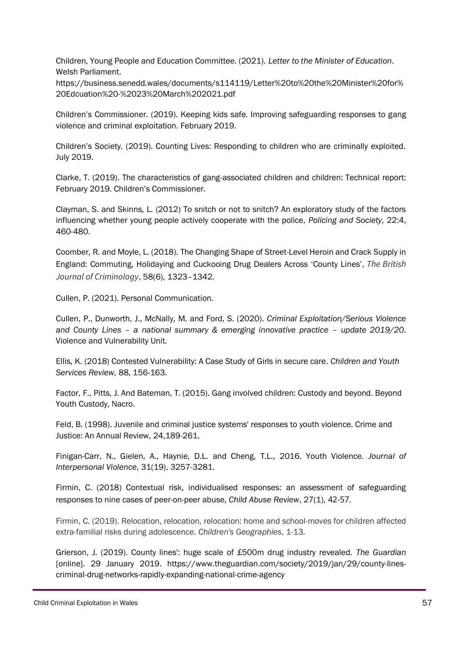Children, Young People and Education Committee. (2021). *Letter to the Minister of Education*. Welsh Parliament.

https://business.senedd.wales/documents/s114119/Letter%20to%20the%20Minister%20for% 20Edcuation%20-%2023%20March%202021.pdf

Children's Commissioner. (2019). Keeping kids safe. Improving safeguarding responses to gang violence and criminal exploitation. February 2019.

Children's Society. (2019). Counting Lives: Responding to children who are criminally exploited. July 2019.

Clarke, T. (2019). The characteristics of gang-associated children and children: Technical report: February 2019. Children's Commissioner.

Clayman, S. and Skinns, L. (2012) To snitch or not to snitch? An exploratory study of the factors influencing whether young people actively cooperate with the police, *Policing and Society*, 22:4, 460-480.

Coomber, R. and Moyle, L. (2018). The Changing Shape of Street-Level Heroin and Crack Supply in England: Commuting, Holidaying and Cuckooing Drug Dealers Across 'County Lines', *The British Journal of Criminology*, 58(6), 1323–1342.

Cullen, P. (2021). Personal Communication.

Cullen, P., Dunworth, J., McNally, M. and Ford, S. (2020). *Criminal Exploitation/Serious Violence and County Lines – a national summary & emerging innovative practice – update 2019/20*. Violence and Vulnerability Unit.

Ellis, K. (2018) Contested Vulnerability: A Case Study of Girls in secure care. *Children and Youth Services Review*, 88, 156-163.

Factor, F., Pitts, J. And Bateman, T. (2015). Gang involved children: Custody and beyond. Beyond Youth Custody, Nacro.

Feld, B. (1998). Juvenile and criminal justice systems' responses to youth violence. Crime and Justice: An Annual Review, 24,189-261.

Finigan-Carr, N., Gielen, A., Haynie, D.L. and Cheng, T.L., 2016. Youth Violence. *Journal of Interpersonal Violence*, 31(19), 3257-3281.

Firmin, C. (2018) Contextual risk, individualised responses: an assessment of safeguarding responses to nine cases of peer-on-peer abuse, *Child Abuse Review*, 27(1), 42-57.

Firmin, C. (2019). Relocation, relocation, relocation: home and school-moves for children affected extra-familial risks during adolescence. *Children's Geographies*, 1-13.

Grierson, J. (2019). County lines': huge scale of £500m drug industry revealed. *The Guardian* [online]*.* 29 January 2019. [https://www.theguardian.com/society/2019/jan/29/county-lines](https://www.theguardian.com/society/2019/jan/29/county-lines-criminal-drug-networks-rapidly-expanding-national-crime-agency)[criminal-drug-networks-rapidly-expanding-national-crime-agency](https://www.theguardian.com/society/2019/jan/29/county-lines-criminal-drug-networks-rapidly-expanding-national-crime-agency)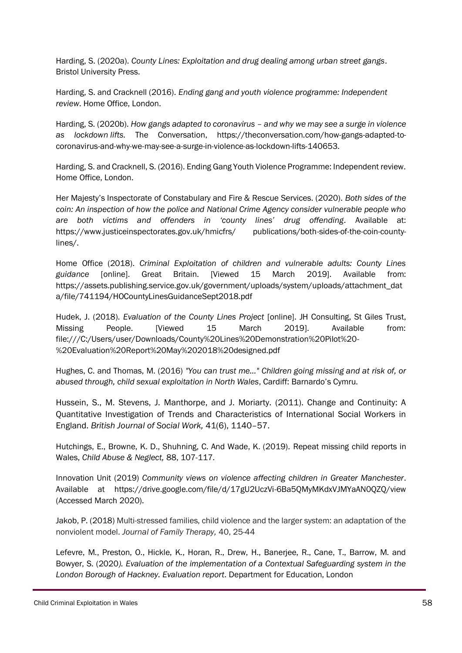Harding, S. (2020a). *County Lines: Exploitation and drug dealing among urban street gangs*. Bristol University Press.

Harding, S. and Cracknell (2016). *Ending gang and youth violence programme: Independent review*. Home Office, London.

Harding, S. (2020b). *How gangs adapted to coronavirus – and why we may see a surge in violence as lockdown lifts*. The Conversation, https://theconversation.com/how-gangs-adapted-tocoronavirus-and-why-we-may-see-a-surge-in-violence-as-lockdown-lifts-140653.

Harding, S. and Cracknell, S. (2016). Ending Gang Youth Violence Programme: Independent review. Home Office, London.

Her Majesty's Inspectorate of Constabulary and Fire & Rescue Services. (2020). *Both sides of the coin: An inspection of how the police and National Crime Agency consider vulnerable people who are both victims and offenders in 'county lines' drug offending*. Available at: https://www.justiceinspectorates.gov.uk/hmicfrs/ publications/both-sides-of-the-coin-countylines/.

Home Office (2018). *Criminal Exploitation of children and vulnerable adults: County Lines guidance* [online]. Great Britain. [Viewed 15 March 2019]. Available from: https://assets.publishing.service.gov.uk/government/uploads/system/uploads/attachment\_dat a/file/741194/HOCountyLinesGuidanceSept2018.pdf

Hudek, J. (2018). *Evaluation of the County Lines Project* [online]. JH Consulting, St Giles Trust, Missing People. [Viewed 15 March 2019]. Available from: file:///C:/Users/user/Downloads/County%20Lines%20Demonstration%20Pilot%20- %20Evaluation%20Report%20May%202018%20designed.pdf

Hughes, C. and Thomas, M. (2016) *"You can trust me…" Children going missing and at risk of, or abused through, child sexual exploitation in North Wales*, Cardiff: Barnardo's Cymru.

Hussein, S., M. Stevens, J. Manthorpe, and J. Moriarty. (2011). Change and Continuity: A Quantitative Investigation of Trends and Characteristics of International Social Workers in England. *British Journal of Social Work,* 41(6), 1140–57.

Hutchings, E., Browne, K. D., Shuhning, C. And Wade, K. (2019). Repeat missing child reports in Wales, *Child Abuse & Neglect,* 88, 107-117.

Innovation Unit (2019) *Community views on violence affecting children in Greater Manchester*. Available at https://drive.google.com/file/d/17gU2UczVi-6Ba5QMyMKdxVJMYaAN0QZQ/view (Accessed March 2020).

Jakob, P. (2018) Multi-stressed families, child violence and the larger system: an adaptation of the nonviolent model. *Journal of Family Therapy,* 40, 25-44

Lefevre, M., Preston, O., Hickle, K., Horan, R., Drew, H., Banerjee, R., Cane, T., Barrow, M. and Bowyer, S. (2020*). Evaluation of the implementation of a Contextual Safeguarding system in the London Borough of Hackney. Evaluation report*. Department for Education, London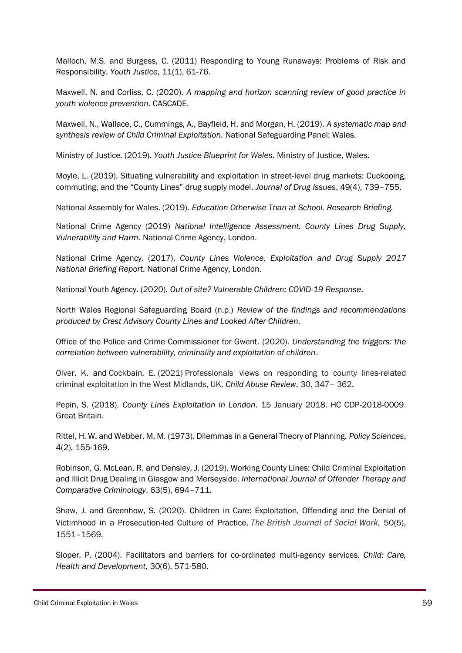Malloch, M.S. and Burgess, C. (2011) Responding to Young Runaways: Problems of Risk and Responsibility. *Youth Justice*, 11(1), 61-76.

Maxwell, N. and Corliss, C. (2020). *A mapping and horizon scanning review of good practice in youth violence prevention*. CASCADE.

Maxwell, N., Wallace, C., Cummings, A., Bayfield, H. and Morgan, H. (2019). *A systematic map and synthesis review of Child Criminal Exploitation.* National Safeguarding Panel: Wales.

Ministry of Justice. (2019). *Youth Justice Blueprint for Wales*. Ministry of Justice, Wales.

Moyle, L. (2019). Situating vulnerability and exploitation in street-level drug markets: Cuckooing, commuting, and the "County Lines" drug supply model. *Journal of Drug Issues*, 49(4), 739–755.

National Assembly for Wales. (2019). *Education Otherwise Than at School. Research Briefing.*

National Crime Agency (2019) *National Intelligence Assessment. County Lines Drug Supply, Vulnerability and Harm*. National Crime Agency, London.

National Crime Agency. (2017). *County Lines Violence, Exploitation and Drug Supply 2017 National Briefing Report.* National Crime Agency, London.

National Youth Agency. (2020). *Out of site? Vulnerable Children: COVID-19 Response*.

North Wales Regional Safeguarding Board (n.p.) *Review of the findings and recommendations produced by Crest Advisory County Lines and Looked After Children*.

Office of the Police and Crime Commissioner for Gwent. (2020). *Understanding the triggers: the correlation between vulnerability, criminality and exploitation of children*.

Olver, K. and Cockbain, E. (2021) Professionals' views on responding to county lines-related criminal exploitation in the West Midlands, UK. *Child Abuse Review*, 30, 347– 362.

Pepin, S. (2018). *County Lines Exploitation in London*. 15 January 2018. HC CDP-2018-0009. Great Britain.

Rittel, H. W. and Webber, M. M. (1973). Dilemmas in a General Theory of Planning. *Policy Sciences*, 4(2), 155-169.

Robinson, G. McLean, R. and Densley, J. (2019). Working County Lines: Child Criminal Exploitation and Illicit Drug Dealing in Glasgow and Merseyside. *International Journal of Offender Therapy and Comparative Criminology*, 63(5), 694–711.

Shaw, J. and Greenhow, S. (2020). Children in Care: Exploitation, Offending and the Denial of Victimhood in a Prosecution-led Culture of Practice, *The British Journal of Social Work*, 50(5), 1551–1569.

Sloper, P. (2004). Facilitators and barriers for co-ordinated multi-agency services. *Child: Care, Health and Development,* 30(6), 571-580.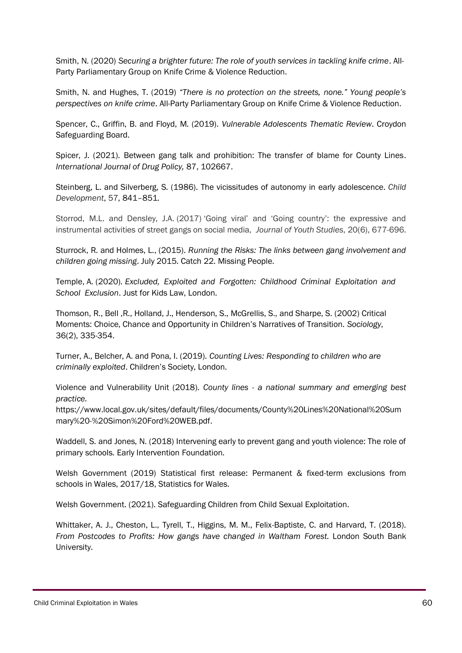Smith, N. (2020) *Securing a brighter future: The role of youth services in tackling knife crime*. All-Party Parliamentary Group on Knife Crime & Violence Reduction.

Smith, N. and Hughes, T. (2019) *"There is no protection on the streets, none." Young people's perspectives on knife crime*. All-Party Parliamentary Group on Knife Crime & Violence Reduction.

Spencer, C., Griffin, B. and Floyd, M. (2019). *Vulnerable Adolescents Thematic Review*. Croydon Safeguarding Board.

Spicer, J. (2021). Between gang talk and prohibition: The transfer of blame for County Lines. *International Journal of Drug Policy,* 87, 102667.

Steinberg, L. and Silverberg, S. (1986). The vicissitudes of autonomy in early adolescence. *Child Development*, 57, 841–851.

Storrod, M.L. and Densley, J.A. (2017) 'Going viral' and 'Going country': the expressive and instrumental activities of street gangs on social media, *Journal of Youth Studies*, 20(6), 677-696.

Sturrock, R. and Holmes, L., (2015). *Running the Risks: The links between gang involvement and children going missing*. July 2015. Catch 22. Missing People.

Temple, A. (2020). *Excluded, Exploited and Forgotten: Childhood Criminal Exploitation and School Exclusion*. Just for Kids Law, London.

Thomson, R., Bell ,R., Holland, J., Henderson, S., McGrellis, S., and Sharpe, S. (2002) Critical Moments: Choice, Chance and Opportunity in Children's Narratives of Transition. *Sociology*, 36(2), 335-354.

Turner, A., Belcher, A. and Pona, I. (2019). *Counting Lives: Responding to children who are criminally exploited*. Children's Society, London.

Violence and Vulnerability Unit (2018). *County lines - a national summary and emerging best practice.*

https://www.local.gov.uk/sites/default/files/documents/County%20Lines%20National%20Sum mary%20-%20Simon%20Ford%20WEB.pdf.

Waddell, S. and Jones, N. (2018) Intervening early to prevent gang and youth violence: The role of primary schools. Early Intervention Foundation.

Welsh Government (2019) Statistical first release: Permanent & fixed-term exclusions from schools in Wales, 2017/18, Statistics for Wales.

Welsh Government. (2021). Safeguarding Children from Child Sexual Exploitation.

Whittaker, A. J., Cheston, L., Tyrell, T., Higgins, M. M., Felix-Baptiste, C. and Harvard, T. (2018). *From Postcodes to Profits: How gangs have changed in Waltham Forest.* London South Bank University.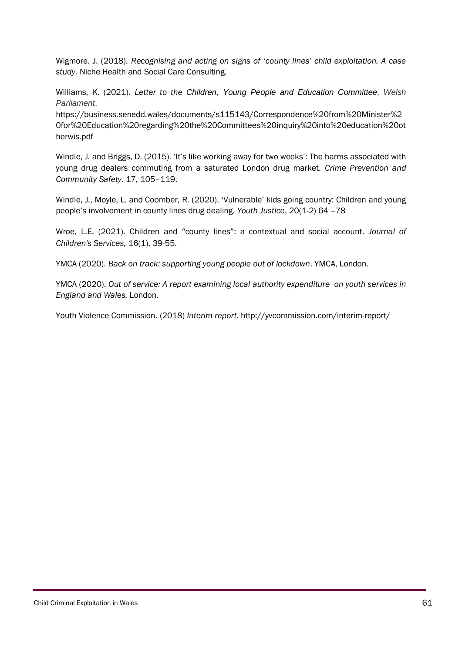Wigmore. J. (2018). *Recognising and acting on signs of 'county lines' child exploitation. A case study*. Niche Health and Social Care Consulting.

Williams, K. (2021). *Letter to the Children, Young People and Education Committee, Welsh Parliament*.

https://business.senedd.wales/documents/s115143/Correspondence%20from%20Minister%2 0for%20Education%20regarding%20the%20Committees%20inquiry%20into%20education%20ot herwis.pdf

Windle, J. and Briggs, D. (2015). 'It's like working away for two weeks': The harms associated with young drug dealers commuting from a saturated London drug market. *Crime Prevention and Community Safety*. 17, 105–119.

Windle, J., Moyle, L. and Coomber, R. (2020). 'Vulnerable' kids going country: Children and young people's involvement in county lines drug dealing. *Youth Justice*, 20(1-2) 64 –78

Wroe, L.E. (2021). Children and "county lines": a contextual and social account. *[Journal of](https://www.emerald.com/insight/publication/issn/1746-6660)  [Children's Services,](https://www.emerald.com/insight/publication/issn/1746-6660)* 16(1), 39-55.

YMCA (2020). *Back on track: supporting young people out of lockdown*. YMCA, London.

YMCA (2020). *Out of service: A report examining local authority expenditure on youth services in England and Wales.* London.

Youth Violence Commission. (2018) *Interim report.* http://yvcommission.com/interim-report/